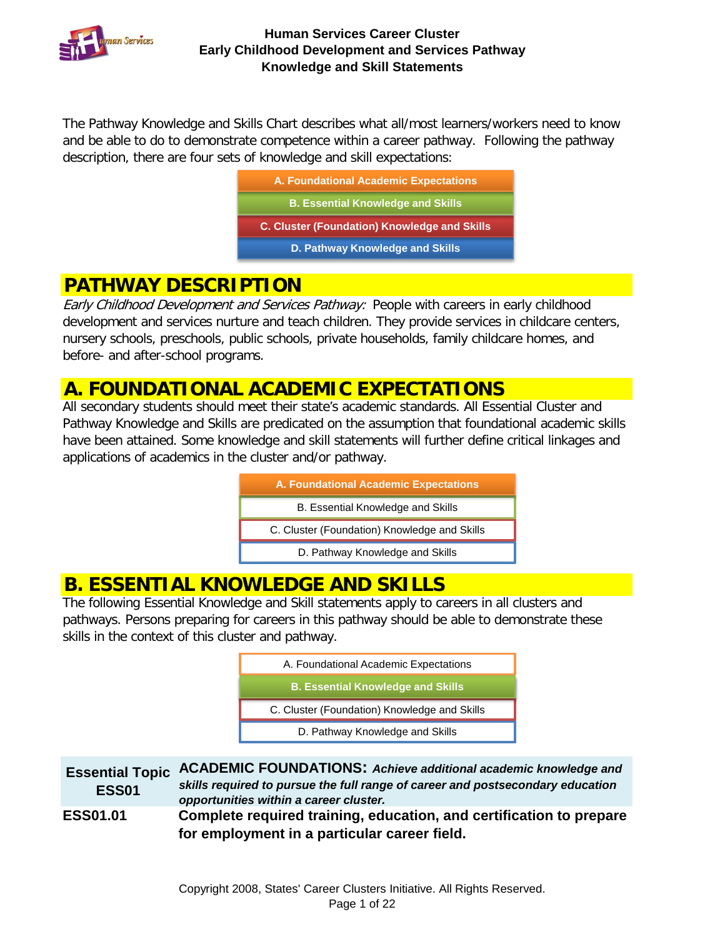

The Pathway Knowledge and Skills Chart describes what all/most learners/workers need to know and be able to do to demonstrate competence within a career pathway. Following the pathway description, there are four sets of knowledge and skill expectations:

| A. Foundational Academic Expectations               |
|-----------------------------------------------------|
| <b>B. Essential Knowledge and Skills</b>            |
| <b>C. Cluster (Foundation) Knowledge and Skills</b> |
| D. Pathway Knowledge and Skills                     |
|                                                     |

## **PATHWAY DESCRIPTION**

Early Childhood Development and Services Pathway: People with careers in early childhood development and services nurture and teach children. They provide services in childcare centers, nursery schools, preschools, public schools, private households, family childcare homes, and before- and after-school programs.

### **A. FOUNDATIONAL ACADEMIC EXPECTATIONS**

All secondary students should meet their state's academic standards. All Essential Cluster and Pathway Knowledge and Skills are predicated on the assumption that foundational academic skills have been attained. Some knowledge and skill statements will further define critical linkages and applications of academics in the cluster and/or pathway.

| A. Foundational Academic Expectations        |
|----------------------------------------------|
| B. Essential Knowledge and Skills            |
| C. Cluster (Foundation) Knowledge and Skills |
| D. Pathway Knowledge and Skills              |

### **B. ESSENTIAL KNOWLEDGE AND SKILLS**

The following Essential Knowledge and Skill statements apply to careers in all clusters and pathways. Persons preparing for careers in this pathway should be able to demonstrate these skills in the context of this cluster and pathway.

| A. Foundational Academic Expectations        |
|----------------------------------------------|
| <b>B. Essential Knowledge and Skills</b>     |
|                                              |
| C. Cluster (Foundation) Knowledge and Skills |
| D. Pathway Knowledge and Skills              |

| <b>ESS01</b>    | Essential Topic ACADEMIC FOUNDATIONS: Achieve additional academic knowledge and<br>skills required to pursue the full range of career and postsecondary education<br>opportunities within a career cluster. |
|-----------------|-------------------------------------------------------------------------------------------------------------------------------------------------------------------------------------------------------------|
| <b>ESS01.01</b> | Complete required training, education, and certification to prepare<br>for employment in a particular career field.                                                                                         |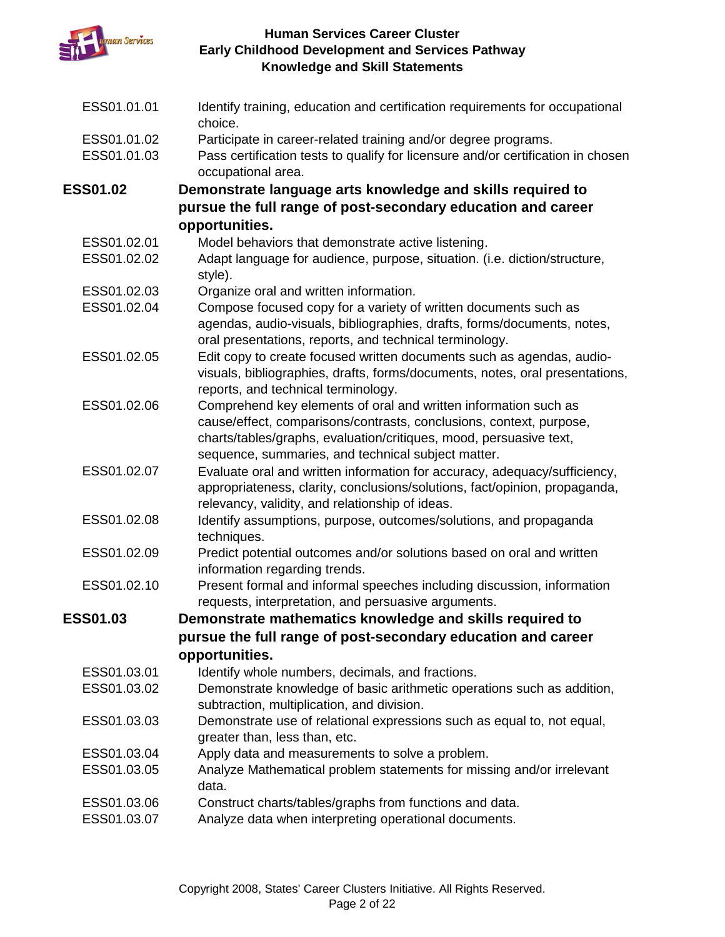

| ESS01.01.01     | Identify training, education and certification requirements for occupational<br>choice.                                                                                                      |
|-----------------|----------------------------------------------------------------------------------------------------------------------------------------------------------------------------------------------|
| ESS01.01.02     | Participate in career-related training and/or degree programs.                                                                                                                               |
| ESS01.01.03     | Pass certification tests to qualify for licensure and/or certification in chosen<br>occupational area.                                                                                       |
| <b>ESS01.02</b> | Demonstrate language arts knowledge and skills required to                                                                                                                                   |
|                 | pursue the full range of post-secondary education and career                                                                                                                                 |
|                 | opportunities.                                                                                                                                                                               |
| ESS01.02.01     | Model behaviors that demonstrate active listening.                                                                                                                                           |
| ESS01.02.02     | Adapt language for audience, purpose, situation. (i.e. diction/structure,<br>style).                                                                                                         |
| ESS01.02.03     | Organize oral and written information.                                                                                                                                                       |
| ESS01.02.04     | Compose focused copy for a variety of written documents such as                                                                                                                              |
|                 | agendas, audio-visuals, bibliographies, drafts, forms/documents, notes,<br>oral presentations, reports, and technical terminology.                                                           |
| ESS01.02.05     | Edit copy to create focused written documents such as agendas, audio-<br>visuals, bibliographies, drafts, forms/documents, notes, oral presentations,<br>reports, and technical terminology. |
| ESS01.02.06     | Comprehend key elements of oral and written information such as                                                                                                                              |
|                 | cause/effect, comparisons/contrasts, conclusions, context, purpose,                                                                                                                          |
|                 | charts/tables/graphs, evaluation/critiques, mood, persuasive text,                                                                                                                           |
|                 | sequence, summaries, and technical subject matter.                                                                                                                                           |
| ESS01.02.07     | Evaluate oral and written information for accuracy, adequacy/sufficiency,                                                                                                                    |
|                 | appropriateness, clarity, conclusions/solutions, fact/opinion, propaganda,<br>relevancy, validity, and relationship of ideas.                                                                |
| ESS01.02.08     | Identify assumptions, purpose, outcomes/solutions, and propaganda<br>techniques.                                                                                                             |
| ESS01.02.09     | Predict potential outcomes and/or solutions based on oral and written<br>information regarding trends.                                                                                       |
| ESS01.02.10     | Present formal and informal speeches including discussion, information<br>requests, interpretation, and persuasive arguments.                                                                |
| <b>ESS01.03</b> | Demonstrate mathematics knowledge and skills required to                                                                                                                                     |
|                 | pursue the full range of post-secondary education and career                                                                                                                                 |
|                 | opportunities.                                                                                                                                                                               |
| ESS01.03.01     | Identify whole numbers, decimals, and fractions.                                                                                                                                             |
| ESS01.03.02     | Demonstrate knowledge of basic arithmetic operations such as addition,                                                                                                                       |
|                 | subtraction, multiplication, and division.                                                                                                                                                   |
| ESS01.03.03     | Demonstrate use of relational expressions such as equal to, not equal,                                                                                                                       |
|                 | greater than, less than, etc.                                                                                                                                                                |
| ESS01.03.04     | Apply data and measurements to solve a problem.                                                                                                                                              |
| ESS01.03.05     | Analyze Mathematical problem statements for missing and/or irrelevant<br>data.                                                                                                               |
| ESS01.03.06     | Construct charts/tables/graphs from functions and data.                                                                                                                                      |
| ESS01.03.07     | Analyze data when interpreting operational documents.                                                                                                                                        |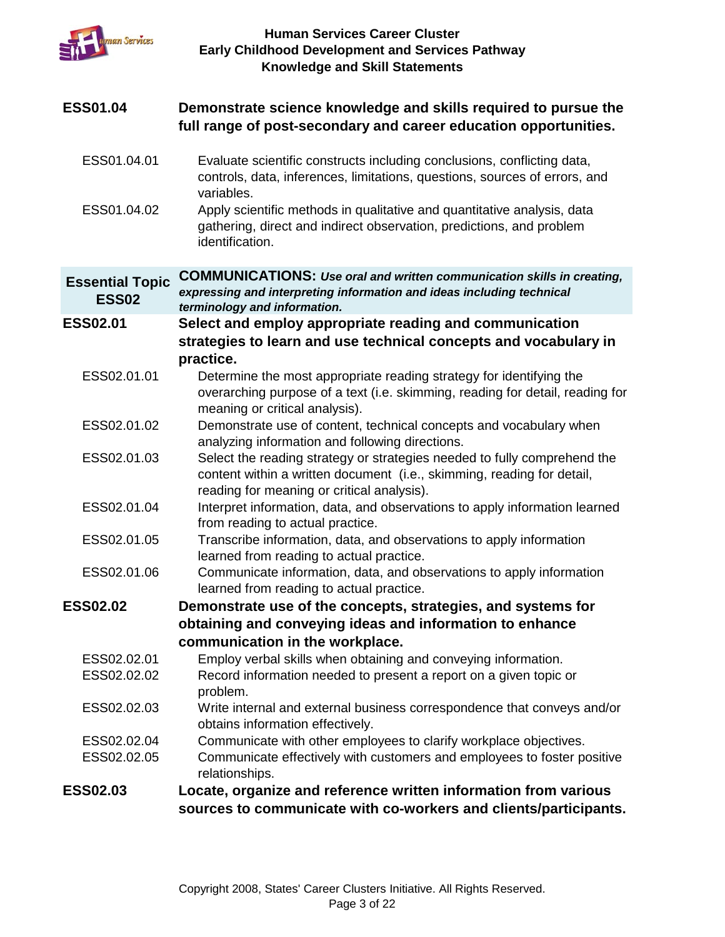

| <b>ESS01.04</b>                        | Demonstrate science knowledge and skills required to pursue the<br>full range of post-secondary and career education opportunities.                                                              |
|----------------------------------------|--------------------------------------------------------------------------------------------------------------------------------------------------------------------------------------------------|
| ESS01.04.01                            | Evaluate scientific constructs including conclusions, conflicting data,<br>controls, data, inferences, limitations, questions, sources of errors, and<br>variables.                              |
| ESS01.04.02                            | Apply scientific methods in qualitative and quantitative analysis, data<br>gathering, direct and indirect observation, predictions, and problem<br>identification.                               |
| <b>Essential Topic</b><br><b>ESS02</b> | <b>COMMUNICATIONS: Use oral and written communication skills in creating,</b><br>expressing and interpreting information and ideas including technical<br>terminology and information.           |
| <b>ESS02.01</b>                        | Select and employ appropriate reading and communication                                                                                                                                          |
|                                        | strategies to learn and use technical concepts and vocabulary in<br>practice.                                                                                                                    |
| ESS02.01.01                            | Determine the most appropriate reading strategy for identifying the                                                                                                                              |
|                                        | overarching purpose of a text (i.e. skimming, reading for detail, reading for<br>meaning or critical analysis).                                                                                  |
| ESS02.01.02                            | Demonstrate use of content, technical concepts and vocabulary when<br>analyzing information and following directions.                                                                            |
| ESS02.01.03                            | Select the reading strategy or strategies needed to fully comprehend the<br>content within a written document (i.e., skimming, reading for detail,<br>reading for meaning or critical analysis). |
| ESS02.01.04                            | Interpret information, data, and observations to apply information learned<br>from reading to actual practice.                                                                                   |
| ESS02.01.05                            | Transcribe information, data, and observations to apply information<br>learned from reading to actual practice.                                                                                  |
| ESS02.01.06                            | Communicate information, data, and observations to apply information<br>learned from reading to actual practice.                                                                                 |
| <b>ESS02.02</b>                        | Demonstrate use of the concepts, strategies, and systems for                                                                                                                                     |
|                                        | obtaining and conveying ideas and information to enhance                                                                                                                                         |
|                                        | communication in the workplace.                                                                                                                                                                  |
| ESS02.02.01                            | Employ verbal skills when obtaining and conveying information.                                                                                                                                   |
| ESS02.02.02                            | Record information needed to present a report on a given topic or<br>problem.                                                                                                                    |
| ESS02.02.03                            | Write internal and external business correspondence that conveys and/or<br>obtains information effectively.                                                                                      |
| ESS02.02.04                            | Communicate with other employees to clarify workplace objectives.                                                                                                                                |
| ESS02.02.05                            | Communicate effectively with customers and employees to foster positive<br>relationships.                                                                                                        |
| <b>ESS02.03</b>                        | Locate, organize and reference written information from various                                                                                                                                  |
|                                        | sources to communicate with co-workers and clients/participants.                                                                                                                                 |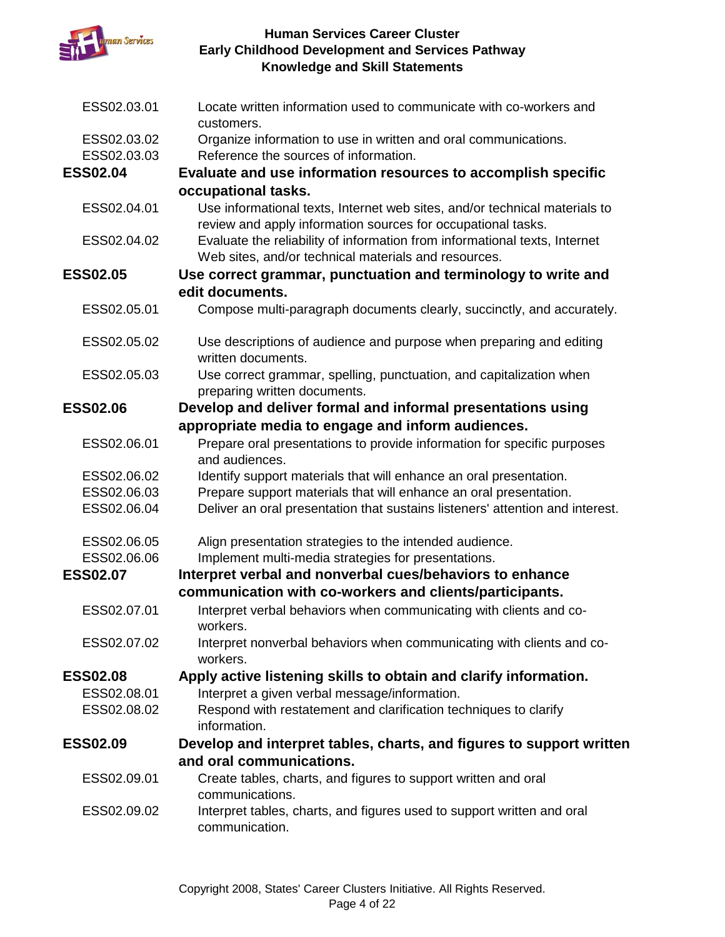

| ESS02.03.01     | Locate written information used to communicate with co-workers and<br>customers.                    |
|-----------------|-----------------------------------------------------------------------------------------------------|
| ESS02.03.02     | Organize information to use in written and oral communications.                                     |
| ESS02.03.03     | Reference the sources of information.                                                               |
| <b>ESS02.04</b> | Evaluate and use information resources to accomplish specific                                       |
|                 | occupational tasks.                                                                                 |
| ESS02.04.01     | Use informational texts, Internet web sites, and/or technical materials to                          |
|                 | review and apply information sources for occupational tasks.                                        |
| ESS02.04.02     | Evaluate the reliability of information from informational texts, Internet                          |
|                 | Web sites, and/or technical materials and resources.                                                |
| <b>ESS02.05</b> | Use correct grammar, punctuation and terminology to write and                                       |
|                 | edit documents.                                                                                     |
| ESS02.05.01     | Compose multi-paragraph documents clearly, succinctly, and accurately.                              |
| ESS02.05.02     | Use descriptions of audience and purpose when preparing and editing                                 |
|                 | written documents.                                                                                  |
| ESS02.05.03     | Use correct grammar, spelling, punctuation, and capitalization when<br>preparing written documents. |
| <b>ESS02.06</b> | Develop and deliver formal and informal presentations using                                         |
|                 | appropriate media to engage and inform audiences.                                                   |
| ESS02.06.01     | Prepare oral presentations to provide information for specific purposes<br>and audiences.           |
| ESS02.06.02     | Identify support materials that will enhance an oral presentation.                                  |
| ESS02.06.03     | Prepare support materials that will enhance an oral presentation.                                   |
| ESS02.06.04     | Deliver an oral presentation that sustains listeners' attention and interest.                       |
| ESS02.06.05     | Align presentation strategies to the intended audience.                                             |
| ESS02.06.06     | Implement multi-media strategies for presentations.                                                 |
| <b>ESS02.07</b> | Interpret verbal and nonverbal cues/behaviors to enhance                                            |
|                 | communication with co-workers and clients/participants.                                             |
| ESS02.07.01     | Interpret verbal behaviors when communicating with clients and co-<br>workers.                      |
| ESS02.07.02     | Interpret nonverbal behaviors when communicating with clients and co-<br>workers.                   |
| <b>ESS02.08</b> | Apply active listening skills to obtain and clarify information.                                    |
| ESS02.08.01     | Interpret a given verbal message/information.                                                       |
| ESS02.08.02     | Respond with restatement and clarification techniques to clarify                                    |
|                 | information.                                                                                        |
| <b>ESS02.09</b> | Develop and interpret tables, charts, and figures to support written                                |
|                 | and oral communications.                                                                            |
| ESS02.09.01     | Create tables, charts, and figures to support written and oral<br>communications.                   |
| ESS02.09.02     | Interpret tables, charts, and figures used to support written and oral                              |
|                 | communication.                                                                                      |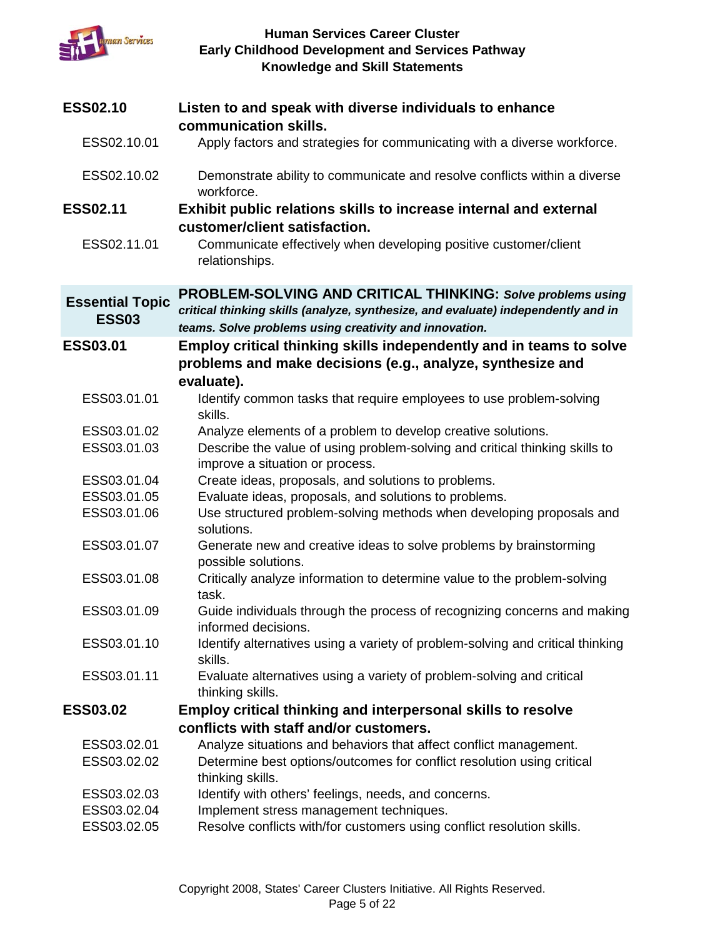

| <b>ESS02.10</b>                        | Listen to and speak with diverse individuals to enhance<br>communication skills.                                                                                                                           |
|----------------------------------------|------------------------------------------------------------------------------------------------------------------------------------------------------------------------------------------------------------|
| ESS02.10.01                            | Apply factors and strategies for communicating with a diverse workforce.                                                                                                                                   |
| ESS02.10.02                            | Demonstrate ability to communicate and resolve conflicts within a diverse<br>workforce.                                                                                                                    |
| <b>ESS02.11</b>                        | Exhibit public relations skills to increase internal and external<br>customer/client satisfaction.                                                                                                         |
| ESS02.11.01                            | Communicate effectively when developing positive customer/client<br>relationships.                                                                                                                         |
| <b>Essential Topic</b><br><b>ESS03</b> | PROBLEM-SOLVING AND CRITICAL THINKING: Solve problems using<br>critical thinking skills (analyze, synthesize, and evaluate) independently and in<br>teams. Solve problems using creativity and innovation. |
| ESS03.01                               | Employ critical thinking skills independently and in teams to solve<br>problems and make decisions (e.g., analyze, synthesize and<br>evaluate).                                                            |
| ESS03.01.01                            | Identify common tasks that require employees to use problem-solving<br>skills.                                                                                                                             |
| ESS03.01.02                            | Analyze elements of a problem to develop creative solutions.                                                                                                                                               |
| ESS03.01.03                            | Describe the value of using problem-solving and critical thinking skills to<br>improve a situation or process.                                                                                             |
| ESS03.01.04                            | Create ideas, proposals, and solutions to problems.                                                                                                                                                        |
| ESS03.01.05                            | Evaluate ideas, proposals, and solutions to problems.                                                                                                                                                      |
| ESS03.01.06                            | Use structured problem-solving methods when developing proposals and<br>solutions.                                                                                                                         |
| ESS03.01.07                            | Generate new and creative ideas to solve problems by brainstorming<br>possible solutions.                                                                                                                  |
| ESS03.01.08                            | Critically analyze information to determine value to the problem-solving<br>task.                                                                                                                          |
| ESS03.01.09                            | Guide individuals through the process of recognizing concerns and making<br>informed decisions.                                                                                                            |
| ESS03.01.10                            | Identify alternatives using a variety of problem-solving and critical thinking<br>skills.                                                                                                                  |
| ESS03.01.11                            | Evaluate alternatives using a variety of problem-solving and critical<br>thinking skills.                                                                                                                  |
| <b>ESS03.02</b>                        | <b>Employ critical thinking and interpersonal skills to resolve</b>                                                                                                                                        |
|                                        | conflicts with staff and/or customers.                                                                                                                                                                     |
| ESS03.02.01                            | Analyze situations and behaviors that affect conflict management.                                                                                                                                          |
| ESS03.02.02                            | Determine best options/outcomes for conflict resolution using critical<br>thinking skills.                                                                                                                 |
| ESS03.02.03                            | Identify with others' feelings, needs, and concerns.                                                                                                                                                       |
| ESS03.02.04                            | Implement stress management techniques.                                                                                                                                                                    |
| ESS03.02.05                            | Resolve conflicts with/for customers using conflict resolution skills.                                                                                                                                     |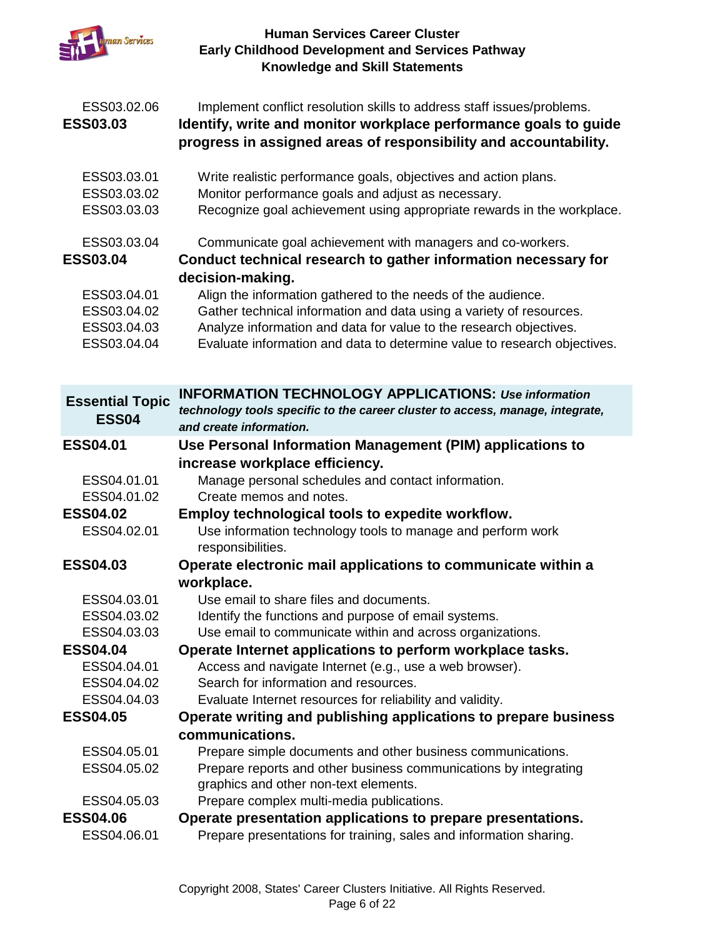

| ESS03.02.06<br><b>ESS03.03</b>                               | Implement conflict resolution skills to address staff issues/problems.<br>Identify, write and monitor workplace performance goals to guide<br>progress in assigned areas of responsibility and accountability.                                                                                          |
|--------------------------------------------------------------|---------------------------------------------------------------------------------------------------------------------------------------------------------------------------------------------------------------------------------------------------------------------------------------------------------|
| ESS03.03.01<br>ESS03.03.02<br>ESS03.03.03                    | Write realistic performance goals, objectives and action plans.<br>Monitor performance goals and adjust as necessary.<br>Recognize goal achievement using appropriate rewards in the workplace.                                                                                                         |
| ESS03.03.04<br><b>ESS03.04</b>                               | Communicate goal achievement with managers and co-workers.<br>Conduct technical research to gather information necessary for<br>decision-making.                                                                                                                                                        |
| ESS03.04.01<br>ESS03.04.02<br>ESS03.04.03<br>ESS03.04.04     | Align the information gathered to the needs of the audience.<br>Gather technical information and data using a variety of resources.<br>Analyze information and data for value to the research objectives.<br>Evaluate information and data to determine value to research objectives.                   |
| <b>Essential Topic</b><br><b>ESS04</b>                       | <b>INFORMATION TECHNOLOGY APPLICATIONS: Use information</b><br>technology tools specific to the career cluster to access, manage, integrate,<br>and create information.                                                                                                                                 |
| <b>ESS04.01</b>                                              | Use Personal Information Management (PIM) applications to                                                                                                                                                                                                                                               |
|                                                              | increase workplace efficiency.                                                                                                                                                                                                                                                                          |
| ESS04.01.01<br>ESS04.01.02<br><b>ESS04.02</b><br>ESS04.02.01 | Manage personal schedules and contact information.<br>Create memos and notes.<br>Employ technological tools to expedite workflow.<br>Use information technology tools to manage and perform work                                                                                                        |
| <b>ESS04.03</b>                                              | responsibilities.<br>Operate electronic mail applications to communicate within a                                                                                                                                                                                                                       |
| ESS04.03.01<br>ESS04.03.02<br>ESS04.03.03                    | workplace.<br>Use email to share files and documents.<br>Identify the functions and purpose of email systems.                                                                                                                                                                                           |
| <b>ESS04.04</b><br>ESS04.04.01<br>ESS04.04.02                | Use email to communicate within and across organizations.<br>Operate Internet applications to perform workplace tasks.<br>Access and navigate Internet (e.g., use a web browser).<br>Search for information and resources.                                                                              |
| ESS04.04.03<br><b>ESS04.05</b>                               | Evaluate Internet resources for reliability and validity.<br>Operate writing and publishing applications to prepare business                                                                                                                                                                            |
| ESS04.05.01<br>ESS04.05.02<br>ESS04.05.03<br><b>ESS04.06</b> | communications.<br>Prepare simple documents and other business communications.<br>Prepare reports and other business communications by integrating<br>graphics and other non-text elements.<br>Prepare complex multi-media publications.<br>Operate presentation applications to prepare presentations. |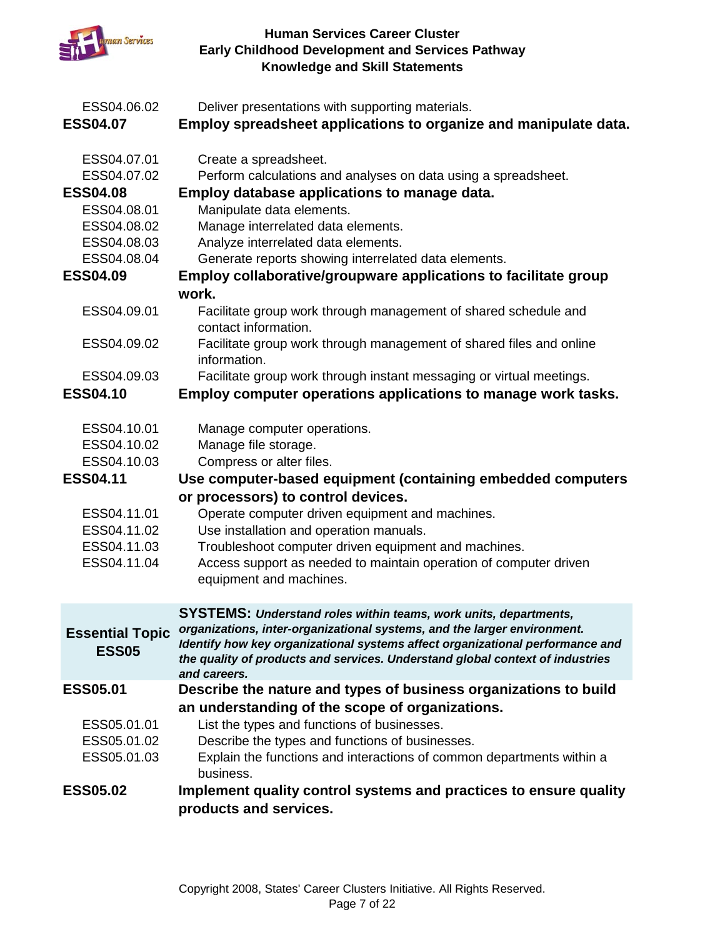

| ESS04.06.02<br><b>ESS04.07</b>                                                                                           | Deliver presentations with supporting materials.<br>Employ spreadsheet applications to organize and manipulate data.                                                                                                                                                                                                                                                                                            |
|--------------------------------------------------------------------------------------------------------------------------|-----------------------------------------------------------------------------------------------------------------------------------------------------------------------------------------------------------------------------------------------------------------------------------------------------------------------------------------------------------------------------------------------------------------|
| ESS04.07.01<br>ESS04.07.02<br><b>ESS04.08</b><br>ESS04.08.01<br>ESS04.08.02<br>ESS04.08.03<br>ESS04.08.04                | Create a spreadsheet.<br>Perform calculations and analyses on data using a spreadsheet.<br>Employ database applications to manage data.<br>Manipulate data elements.<br>Manage interrelated data elements.<br>Analyze interrelated data elements.<br>Generate reports showing interrelated data elements.                                                                                                       |
| <b>ESS04.09</b>                                                                                                          | <b>Employ collaborative/groupware applications to facilitate group</b>                                                                                                                                                                                                                                                                                                                                          |
| ESS04.09.01<br>ESS04.09.02                                                                                               | work.<br>Facilitate group work through management of shared schedule and<br>contact information.<br>Facilitate group work through management of shared files and online                                                                                                                                                                                                                                         |
|                                                                                                                          | information.                                                                                                                                                                                                                                                                                                                                                                                                    |
| ESS04.09.03<br><b>ESS04.10</b>                                                                                           | Facilitate group work through instant messaging or virtual meetings.<br>Employ computer operations applications to manage work tasks.                                                                                                                                                                                                                                                                           |
| ESS04.10.01<br>ESS04.10.02<br>ESS04.10.03<br><b>ESS04.11</b><br>ESS04.11.01<br>ESS04.11.02<br>ESS04.11.03<br>ESS04.11.04 | Manage computer operations.<br>Manage file storage.<br>Compress or alter files.<br>Use computer-based equipment (containing embedded computers<br>or processors) to control devices.<br>Operate computer driven equipment and machines.<br>Use installation and operation manuals.<br>Troubleshoot computer driven equipment and machines.<br>Access support as needed to maintain operation of computer driven |
|                                                                                                                          | equipment and machines.                                                                                                                                                                                                                                                                                                                                                                                         |
| <b>Essential Topic</b><br><b>ESS05</b>                                                                                   | <b>SYSTEMS: Understand roles within teams, work units, departments,</b><br>organizations, inter-organizational systems, and the larger environment.<br>Identify how key organizational systems affect organizational performance and<br>the quality of products and services. Understand global context of industries<br>and careers.                                                                           |
| <b>ESS05.01</b>                                                                                                          | Describe the nature and types of business organizations to build                                                                                                                                                                                                                                                                                                                                                |
| ESS05.01.01<br>ESS05.01.02<br>ESS05.01.03<br><b>ESS05.02</b>                                                             | an understanding of the scope of organizations.<br>List the types and functions of businesses.<br>Describe the types and functions of businesses.<br>Explain the functions and interactions of common departments within a<br>business.<br>Implement quality control systems and practices to ensure quality                                                                                                    |
|                                                                                                                          | products and services.                                                                                                                                                                                                                                                                                                                                                                                          |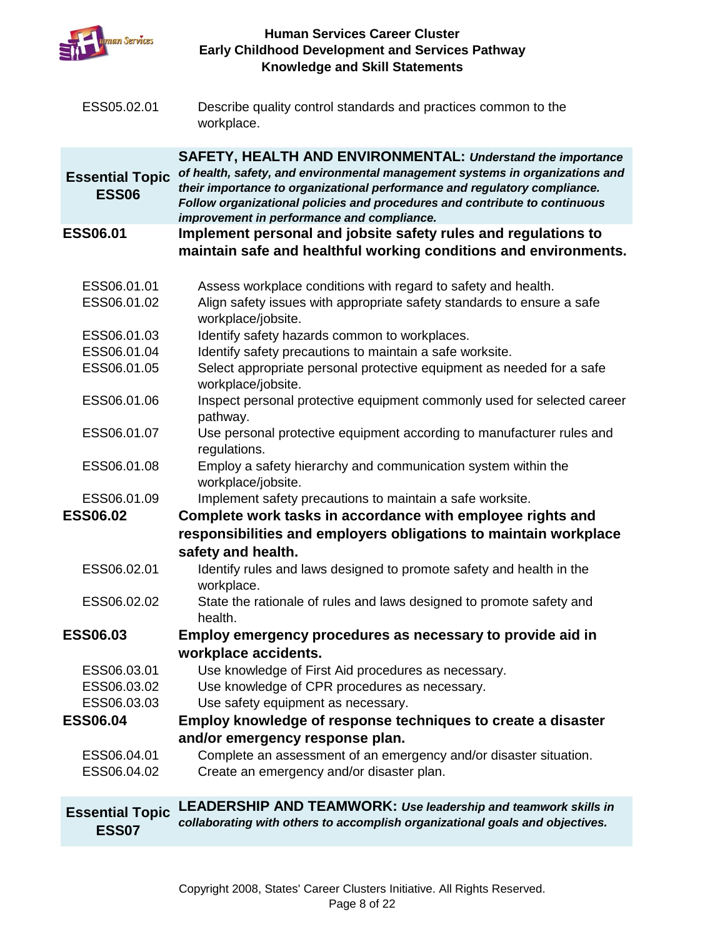

| ESS05.02.01 | Describe quality control standards and practices common to the |
|-------------|----------------------------------------------------------------|
|             | workplace.                                                     |

**SAFETY, HEALTH AND ENVIRONMENTAL:** *Understand the importance* 

- **Essential Topic ESS06** *of health, safety, and environmental management systems in organizations and their importance to organizational performance and regulatory compliance. Follow organizational policies and procedures and contribute to continuous improvement in performance and compliance.*
- **ESS06.01 Implement personal and jobsite safety rules and regulations to maintain safe and healthful working conditions and environments.** 
	- ESS06.01.01 Assess workplace conditions with regard to safety and health.
	- ESS06.01.02 Align safety issues with appropriate safety standards to ensure a safe workplace/jobsite.
	- ESS06.01.03 Identify safety hazards common to workplaces.
	- ESS06.01.04 Identify safety precautions to maintain a safe worksite.
	- ESS06.01.05 Select appropriate personal protective equipment as needed for a safe workplace/jobsite.
	- ESS06.01.06 Inspect personal protective equipment commonly used for selected career pathway.
	- ESS06.01.07 Use personal protective equipment according to manufacturer rules and regulations.
	- ESS06.01.08 Employ a safety hierarchy and communication system within the workplace/jobsite.

ESS06.01.09 Implement safety precautions to maintain a safe worksite.

**ESS06.02 Complete work tasks in accordance with employee rights and responsibilities and employers obligations to maintain workplace safety and health.**

- ESS06.02.01 Identify rules and laws designed to promote safety and health in the workplace.
- ESS06.02.02 State the rationale of rules and laws designed to promote safety and health.
- **ESS06.03 Employ emergency procedures as necessary to provide aid in workplace accidents.**
	- ESS06.03.01 Use knowledge of First Aid procedures as necessary.
	- ESS06.03.02 Use knowledge of CPR procedures as necessary.
	- ESS06.03.03 Use safety equipment as necessary.
- **ESS06.04 Employ knowledge of response techniques to create a disaster and/or emergency response plan.**
	- ESS06.04.01 Complete an assessment of an emergency and/or disaster situation. ESS06.04.02 Create an emergency and/or disaster plan.

#### **Essential Topic ESS07 LEADERSHIP AND TEAMWORK:** *Use leadership and teamwork skills in collaborating with others to accomplish organizational goals and objectives.*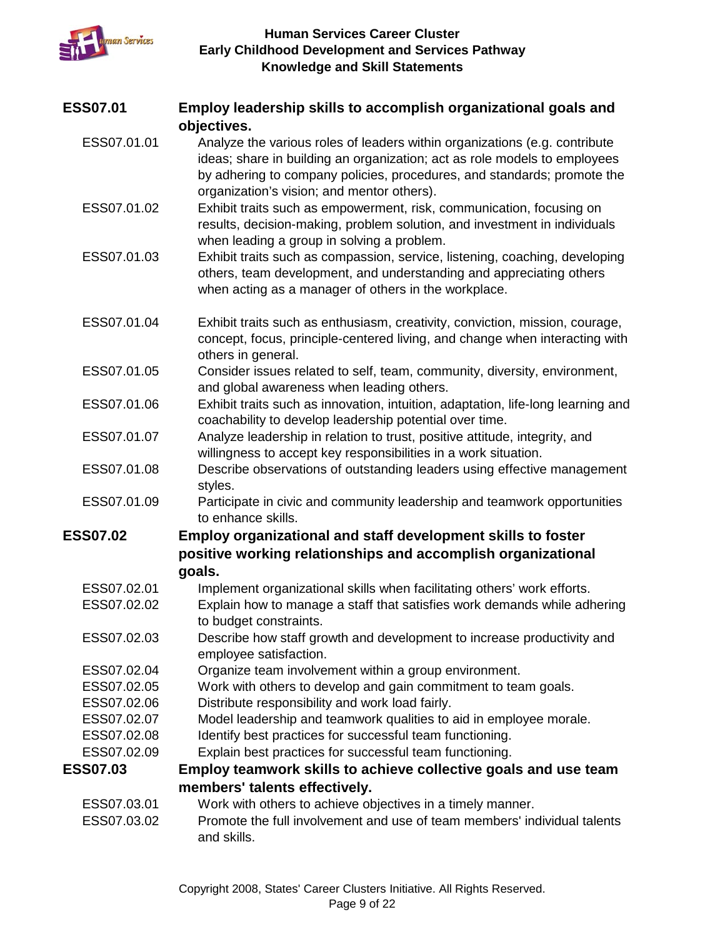

| <b>ESS07.01</b> | Employ leadership skills to accomplish organizational goals and                                                                                                                                            |
|-----------------|------------------------------------------------------------------------------------------------------------------------------------------------------------------------------------------------------------|
|                 | objectives.                                                                                                                                                                                                |
| ESS07.01.01     | Analyze the various roles of leaders within organizations (e.g. contribute<br>ideas; share in building an organization; act as role models to employees                                                    |
|                 | by adhering to company policies, procedures, and standards; promote the<br>organization's vision; and mentor others).                                                                                      |
| ESS07.01.02     | Exhibit traits such as empowerment, risk, communication, focusing on<br>results, decision-making, problem solution, and investment in individuals<br>when leading a group in solving a problem.            |
| ESS07.01.03     | Exhibit traits such as compassion, service, listening, coaching, developing<br>others, team development, and understanding and appreciating others<br>when acting as a manager of others in the workplace. |
| ESS07.01.04     | Exhibit traits such as enthusiasm, creativity, conviction, mission, courage,<br>concept, focus, principle-centered living, and change when interacting with<br>others in general.                          |
| ESS07.01.05     | Consider issues related to self, team, community, diversity, environment,<br>and global awareness when leading others.                                                                                     |
| ESS07.01.06     | Exhibit traits such as innovation, intuition, adaptation, life-long learning and<br>coachability to develop leadership potential over time.                                                                |
| ESS07.01.07     | Analyze leadership in relation to trust, positive attitude, integrity, and<br>willingness to accept key responsibilities in a work situation.                                                              |
| ESS07.01.08     | Describe observations of outstanding leaders using effective management<br>styles.                                                                                                                         |
| ESS07.01.09     | Participate in civic and community leadership and teamwork opportunities<br>to enhance skills.                                                                                                             |
| <b>ESS07.02</b> | <b>Employ organizational and staff development skills to foster</b>                                                                                                                                        |
|                 | positive working relationships and accomplish organizational                                                                                                                                               |
|                 | goals.                                                                                                                                                                                                     |
| ESS07.02.01     | Implement organizational skills when facilitating others' work efforts.                                                                                                                                    |
| ESS07.02.02     | Explain how to manage a staff that satisfies work demands while adhering<br>to budget constraints.                                                                                                         |
| ESS07.02.03     | Describe how staff growth and development to increase productivity and<br>employee satisfaction.                                                                                                           |
| ESS07.02.04     | Organize team involvement within a group environment.                                                                                                                                                      |
| ESS07.02.05     | Work with others to develop and gain commitment to team goals.                                                                                                                                             |
| ESS07.02.06     | Distribute responsibility and work load fairly.                                                                                                                                                            |
| ESS07.02.07     | Model leadership and teamwork qualities to aid in employee morale.                                                                                                                                         |
| ESS07.02.08     | Identify best practices for successful team functioning.                                                                                                                                                   |
| ESS07.02.09     | Explain best practices for successful team functioning.                                                                                                                                                    |
| <b>ESS07.03</b> | Employ teamwork skills to achieve collective goals and use team                                                                                                                                            |
|                 | members' talents effectively.                                                                                                                                                                              |
| ESS07.03.01     | Work with others to achieve objectives in a timely manner.                                                                                                                                                 |
| ESS07.03.02     | Promote the full involvement and use of team members' individual talents<br>and skills.                                                                                                                    |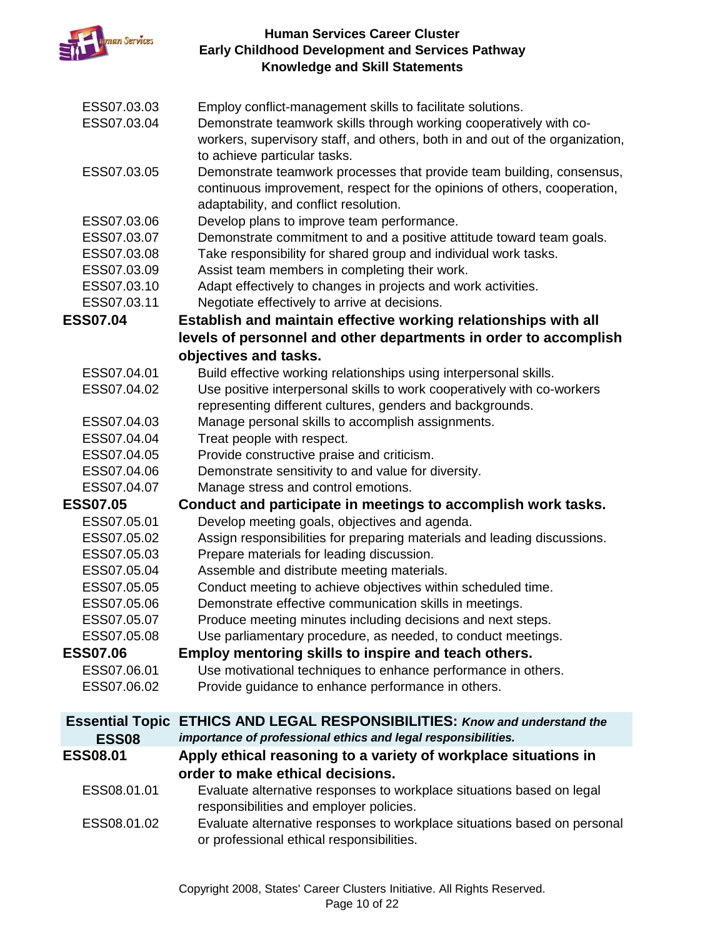

| ESS07.03.03<br>ESS07.03.04 | Employ conflict-management skills to facilitate solutions.<br>Demonstrate teamwork skills through working cooperatively with co-<br>workers, supervisory staff, and others, both in and out of the organization,<br>to achieve particular tasks. |
|----------------------------|--------------------------------------------------------------------------------------------------------------------------------------------------------------------------------------------------------------------------------------------------|
| ESS07.03.05                | Demonstrate teamwork processes that provide team building, consensus,<br>continuous improvement, respect for the opinions of others, cooperation,<br>adaptability, and conflict resolution.                                                      |
| ESS07.03.06                | Develop plans to improve team performance.                                                                                                                                                                                                       |
| ESS07.03.07                | Demonstrate commitment to and a positive attitude toward team goals.                                                                                                                                                                             |
| ESS07.03.08                | Take responsibility for shared group and individual work tasks.                                                                                                                                                                                  |
| ESS07.03.09                | Assist team members in completing their work.                                                                                                                                                                                                    |
| ESS07.03.10                | Adapt effectively to changes in projects and work activities.                                                                                                                                                                                    |
| ESS07.03.11                | Negotiate effectively to arrive at decisions.                                                                                                                                                                                                    |
| <b>ESS07.04</b>            | Establish and maintain effective working relationships with all                                                                                                                                                                                  |
|                            | levels of personnel and other departments in order to accomplish                                                                                                                                                                                 |
|                            | objectives and tasks.                                                                                                                                                                                                                            |
| ESS07.04.01                | Build effective working relationships using interpersonal skills.                                                                                                                                                                                |
| ESS07.04.02                | Use positive interpersonal skills to work cooperatively with co-workers                                                                                                                                                                          |
|                            | representing different cultures, genders and backgrounds.                                                                                                                                                                                        |
| ESS07.04.03                | Manage personal skills to accomplish assignments.                                                                                                                                                                                                |
| ESS07.04.04                | Treat people with respect.                                                                                                                                                                                                                       |
| ESS07.04.05                | Provide constructive praise and criticism.                                                                                                                                                                                                       |
| ESS07.04.06                | Demonstrate sensitivity to and value for diversity.                                                                                                                                                                                              |
| ESS07.04.07                | Manage stress and control emotions.                                                                                                                                                                                                              |
| <b>ESS07.05</b>            | Conduct and participate in meetings to accomplish work tasks.                                                                                                                                                                                    |
| ESS07.05.01                | Develop meeting goals, objectives and agenda.                                                                                                                                                                                                    |
| ESS07.05.02                | Assign responsibilities for preparing materials and leading discussions.                                                                                                                                                                         |
| ESS07.05.03                | Prepare materials for leading discussion.                                                                                                                                                                                                        |
| ESS07.05.04                | Assemble and distribute meeting materials.                                                                                                                                                                                                       |
| ESS07.05.05                | Conduct meeting to achieve objectives within scheduled time.                                                                                                                                                                                     |
| ESS07.05.06                | Demonstrate effective communication skills in meetings.                                                                                                                                                                                          |
| ESS07.05.07                | Produce meeting minutes including decisions and next steps.                                                                                                                                                                                      |
| ESS07.05.08                | Use parliamentary procedure, as needed, to conduct meetings.                                                                                                                                                                                     |
| <b>ESS07.06</b>            | Employ mentoring skills to inspire and teach others.                                                                                                                                                                                             |
| ESS07.06.01                | Use motivational techniques to enhance performance in others.                                                                                                                                                                                    |
| ESS07.06.02                | Provide guidance to enhance performance in others.                                                                                                                                                                                               |
| <b>Essential Topic</b>     | <b>ETHICS AND LEGAL RESPONSIBILITIES: Know and understand the</b>                                                                                                                                                                                |
| <b>ESS08</b>               | importance of professional ethics and legal responsibilities.                                                                                                                                                                                    |
| <b>ESS08.01</b>            | Apply ethical reasoning to a variety of workplace situations in                                                                                                                                                                                  |
|                            | order to make ethical decisions.                                                                                                                                                                                                                 |
| ESS08.01.01                | Evaluate alternative responses to workplace situations based on legal<br>responsibilities and employer policies.                                                                                                                                 |
| ESS08.01.02                | Evaluate alternative responses to workplace situations based on personal<br>or professional ethical responsibilities.                                                                                                                            |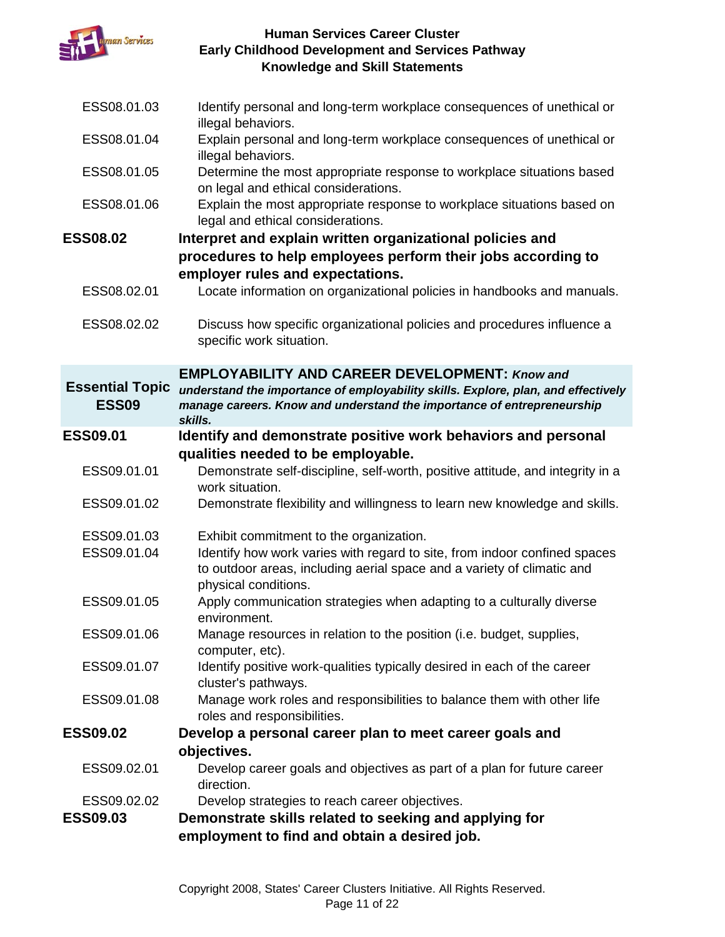

| Demonstrate skills related to seeking and applying for<br>employment to find and obtain a desired job.                                                                                                                          |
|---------------------------------------------------------------------------------------------------------------------------------------------------------------------------------------------------------------------------------|
| direction.<br>Develop strategies to reach career objectives.                                                                                                                                                                    |
| Develop career goals and objectives as part of a plan for future career                                                                                                                                                         |
| Develop a personal career plan to meet career goals and<br>objectives.                                                                                                                                                          |
| Manage work roles and responsibilities to balance them with other life<br>roles and responsibilities.                                                                                                                           |
| Identify positive work-qualities typically desired in each of the career<br>cluster's pathways.                                                                                                                                 |
| Manage resources in relation to the position (i.e. budget, supplies,<br>computer, etc).                                                                                                                                         |
| physical conditions.<br>Apply communication strategies when adapting to a culturally diverse<br>environment.                                                                                                                    |
| Exhibit commitment to the organization.<br>Identify how work varies with regard to site, from indoor confined spaces<br>to outdoor areas, including aerial space and a variety of climatic and                                  |
| Demonstrate flexibility and willingness to learn new knowledge and skills.                                                                                                                                                      |
| Demonstrate self-discipline, self-worth, positive attitude, and integrity in a<br>work situation.                                                                                                                               |
| Identify and demonstrate positive work behaviors and personal<br>qualities needed to be employable.                                                                                                                             |
| <b>EMPLOYABILITY AND CAREER DEVELOPMENT: Know and</b><br>understand the importance of employability skills. Explore, plan, and effectively<br>manage careers. Know and understand the importance of entrepreneurship<br>skills. |
| Discuss how specific organizational policies and procedures influence a<br>specific work situation.                                                                                                                             |
| Locate information on organizational policies in handbooks and manuals.                                                                                                                                                         |
| procedures to help employees perform their jobs according to<br>employer rules and expectations.                                                                                                                                |
| legal and ethical considerations.<br>Interpret and explain written organizational policies and                                                                                                                                  |
| Determine the most appropriate response to workplace situations based<br>on legal and ethical considerations.<br>Explain the most appropriate response to workplace situations based on                                         |
| Explain personal and long-term workplace consequences of unethical or<br>illegal behaviors.                                                                                                                                     |
| Identify personal and long-term workplace consequences of unethical or<br>illegal behaviors.                                                                                                                                    |
|                                                                                                                                                                                                                                 |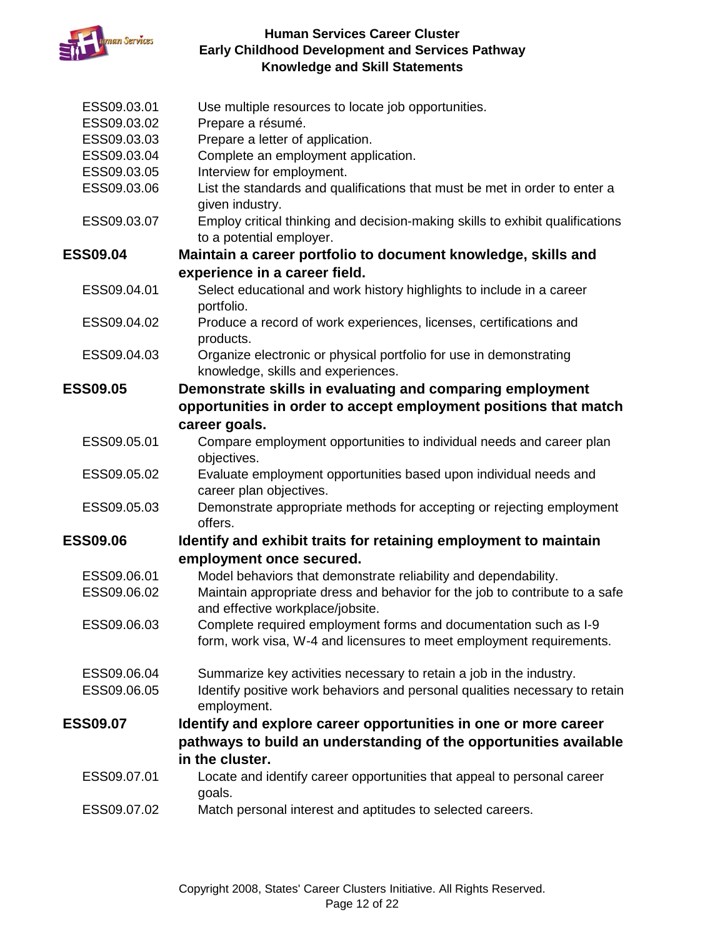

| ESS09.03.01                | Use multiple resources to locate job opportunities.                                                       |
|----------------------------|-----------------------------------------------------------------------------------------------------------|
| ESS09.03.02                | Prepare a résumé.                                                                                         |
| ESS09.03.03<br>ESS09.03.04 | Prepare a letter of application.<br>Complete an employment application.                                   |
| ESS09.03.05                | Interview for employment.                                                                                 |
| ESS09.03.06                | List the standards and qualifications that must be met in order to enter a                                |
|                            | given industry.                                                                                           |
| ESS09.03.07                | Employ critical thinking and decision-making skills to exhibit qualifications<br>to a potential employer. |
| <b>ESS09.04</b>            | Maintain a career portfolio to document knowledge, skills and                                             |
|                            | experience in a career field.                                                                             |
| ESS09.04.01                | Select educational and work history highlights to include in a career<br>portfolio.                       |
| ESS09.04.02                | Produce a record of work experiences, licenses, certifications and<br>products.                           |
| ESS09.04.03                | Organize electronic or physical portfolio for use in demonstrating<br>knowledge, skills and experiences.  |
| <b>ESS09.05</b>            | Demonstrate skills in evaluating and comparing employment                                                 |
|                            | opportunities in order to accept employment positions that match                                          |
|                            | career goals.                                                                                             |
| ESS09.05.01                | Compare employment opportunities to individual needs and career plan<br>objectives.                       |
| ESS09.05.02                | Evaluate employment opportunities based upon individual needs and                                         |
|                            | career plan objectives.                                                                                   |
| ESS09.05.03                | Demonstrate appropriate methods for accepting or rejecting employment                                     |
|                            | offers.                                                                                                   |
| <b>ESS09.06</b>            | Identify and exhibit traits for retaining employment to maintain                                          |
|                            | employment once secured.                                                                                  |
| ESS09.06.01                | Model behaviors that demonstrate reliability and dependability.                                           |
| ESS09.06.02                | Maintain appropriate dress and behavior for the job to contribute to a safe                               |
|                            | and effective workplace/jobsite.                                                                          |
| ESS09.06.03                | Complete required employment forms and documentation such as I-9                                          |
|                            | form, work visa, W-4 and licensures to meet employment requirements.                                      |
| ESS09.06.04                | Summarize key activities necessary to retain a job in the industry.                                       |
| ESS09.06.05                | Identify positive work behaviors and personal qualities necessary to retain<br>employment.                |
| <b>ESS09.07</b>            | Identify and explore career opportunities in one or more career                                           |
|                            | pathways to build an understanding of the opportunities available                                         |
|                            | in the cluster.                                                                                           |
| ESS09.07.01                | Locate and identify career opportunities that appeal to personal career<br>goals.                         |
| ESS09.07.02                | Match personal interest and aptitudes to selected careers.                                                |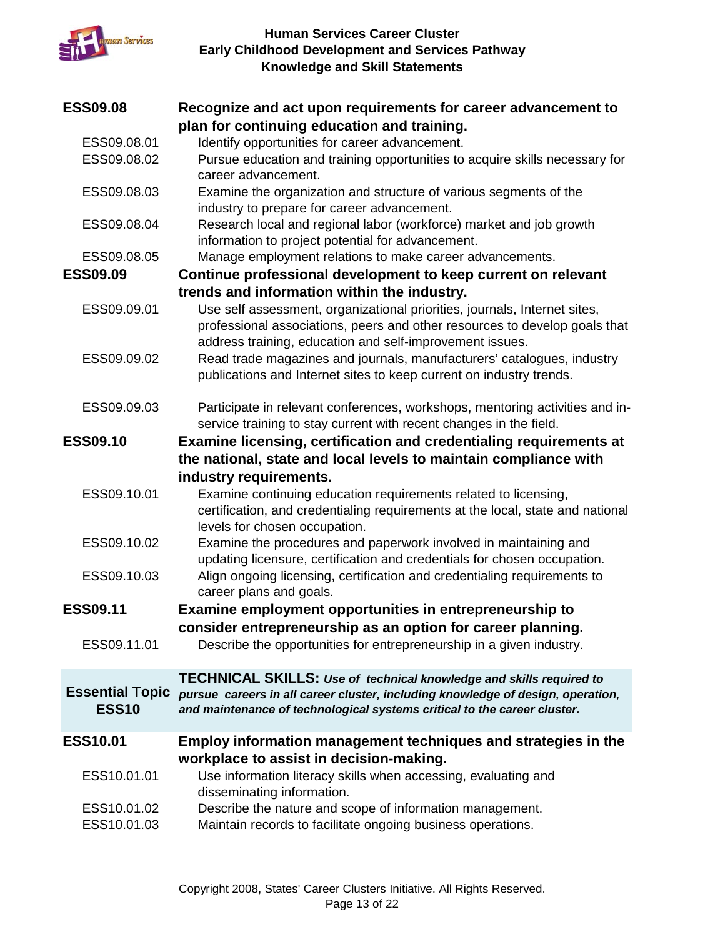

| <b>ESS09.08</b>        | Recognize and act upon requirements for career advancement to                   |
|------------------------|---------------------------------------------------------------------------------|
|                        | plan for continuing education and training.                                     |
| ESS09.08.01            | Identify opportunities for career advancement.                                  |
| ESS09.08.02            | Pursue education and training opportunities to acquire skills necessary for     |
|                        | career advancement.                                                             |
| ESS09.08.03            | Examine the organization and structure of various segments of the               |
|                        | industry to prepare for career advancement.                                     |
| ESS09.08.04            | Research local and regional labor (workforce) market and job growth             |
|                        | information to project potential for advancement.                               |
| ESS09.08.05            | Manage employment relations to make career advancements.                        |
| <b>ESS09.09</b>        | Continue professional development to keep current on relevant                   |
|                        | trends and information within the industry.                                     |
| ESS09.09.01            | Use self assessment, organizational priorities, journals, Internet sites,       |
|                        | professional associations, peers and other resources to develop goals that      |
|                        | address training, education and self-improvement issues.                        |
| ESS09.09.02            | Read trade magazines and journals, manufacturers' catalogues, industry          |
|                        | publications and Internet sites to keep current on industry trends.             |
|                        |                                                                                 |
| ESS09.09.03            | Participate in relevant conferences, workshops, mentoring activities and in-    |
|                        | service training to stay current with recent changes in the field.              |
| <b>ESS09.10</b>        | Examine licensing, certification and credentialing requirements at              |
|                        | the national, state and local levels to maintain compliance with                |
|                        | industry requirements.                                                          |
| ESS09.10.01            | Examine continuing education requirements related to licensing,                 |
|                        | certification, and credentialing requirements at the local, state and national  |
|                        | levels for chosen occupation.                                                   |
| ESS09.10.02            | Examine the procedures and paperwork involved in maintaining and                |
|                        | updating licensure, certification and credentials for chosen occupation.        |
| ESS09.10.03            | Align ongoing licensing, certification and credentialing requirements to        |
|                        | career plans and goals.                                                         |
| <b>ESS09.11</b>        | Examine employment opportunities in entrepreneurship to                         |
|                        | consider entrepreneurship as an option for career planning.                     |
| ESS09.11.01            | Describe the opportunities for entrepreneurship in a given industry.            |
|                        |                                                                                 |
|                        | <b>TECHNICAL SKILLS: Use of technical knowledge and skills required to</b>      |
| <b>Essential Topic</b> | pursue careers in all career cluster, including knowledge of design, operation, |
| <b>ESS10</b>           | and maintenance of technological systems critical to the career cluster.        |
|                        |                                                                                 |
| <b>ESS10.01</b>        | <b>Employ information management techniques and strategies in the</b>           |
|                        | workplace to assist in decision-making.                                         |
| ESS10.01.01            | Use information literacy skills when accessing, evaluating and                  |
|                        | disseminating information.                                                      |
| ESS10.01.02            | Describe the nature and scope of information management.                        |
| ESS10.01.03            | Maintain records to facilitate ongoing business operations.                     |
|                        |                                                                                 |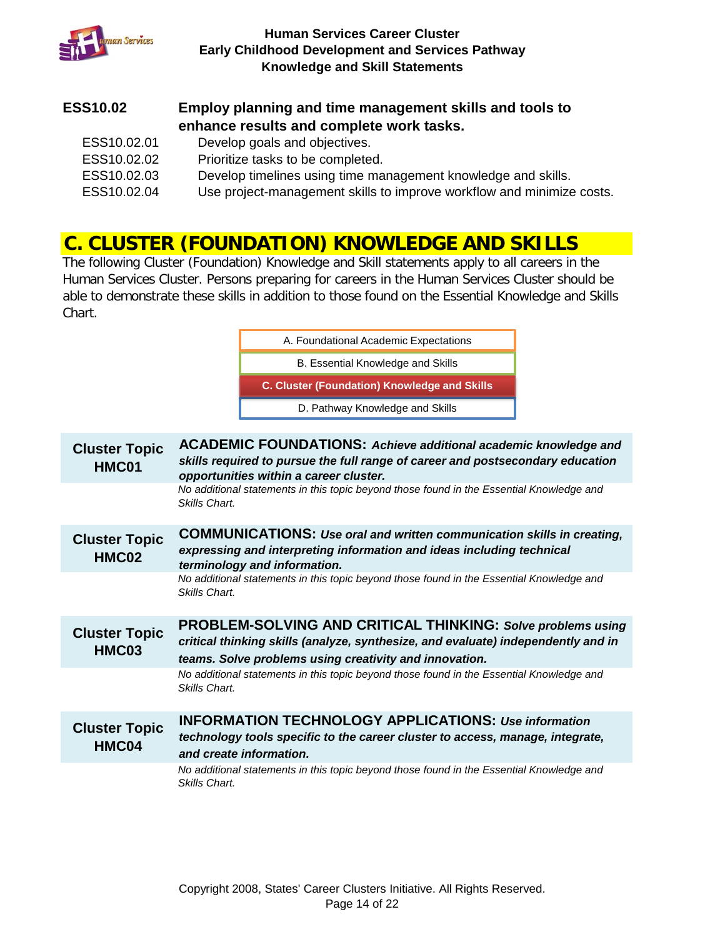

#### **ESS10.02 Employ planning and time management skills and tools to enhance results and complete work tasks.**

ESS10.02.01 Develop goals and objectives. ESS10.02.02 Prioritize tasks to be completed. ESS10.02.03 Develop timelines using time management knowledge and skills. ESS10.02.04 Use project-management skills to improve workflow and minimize costs.

### **C. CLUSTER (FOUNDATION) KNOWLEDGE AND SKILLS**

The following Cluster (Foundation) Knowledge and Skill statements apply to all careers in the Human Services Cluster. Persons preparing for careers in the Human Services Cluster should be able to demonstrate these skills in addition to those found on the Essential Knowledge and Skills Chart.

> B. Essential Knowledge and Skills A. Foundational Academic Expectations

> **C. Cluster (Foundation) Knowledge and Skills**

D. Pathway Knowledge and Skills

**Cluster Topic HMC01 ACADEMIC FOUNDATIONS:** *Achieve additional academic knowledge and skills required to pursue the full range of career and postsecondary education opportunities within a career cluster. No additional statements in this topic beyond those found in the Essential Knowledge and Skills Chart.* **Cluster Topic HMC02 COMMUNICATIONS:** *Use oral and written communication skills in creating, expressing and interpreting information and ideas including technical terminology and information. No additional statements in this topic beyond those found in the Essential Knowledge and Skills Chart.* **Cluster Topic HMC03 PROBLEM-SOLVING AND CRITICAL THINKING:** *Solve problems using critical thinking skills (analyze, synthesize, and evaluate) independently and in teams. Solve problems using creativity and innovation. No additional statements in this topic beyond those found in the Essential Knowledge and Skills Chart.* **Cluster Topic HMC04 INFORMATION TECHNOLOGY APPLICATIONS:** *Use information technology tools specific to the career cluster to access, manage, integrate, and create information. No additional statements in this topic beyond those found in the Essential Knowledge and Skills Chart.*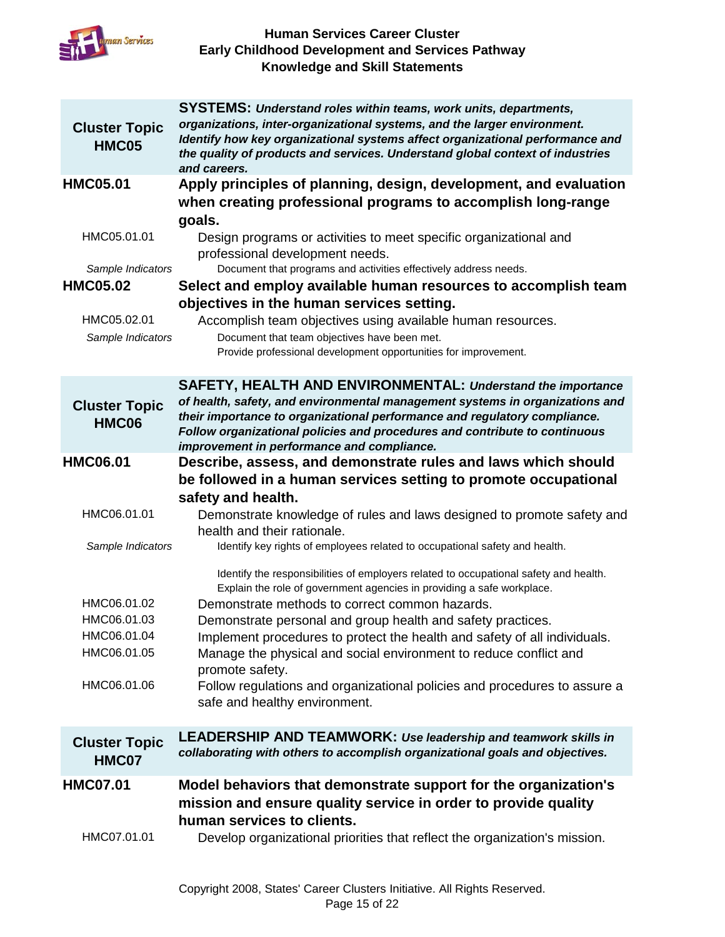

|                               | <b>SYSTEMS: Understand roles within teams, work units, departments,</b>                                                  |
|-------------------------------|--------------------------------------------------------------------------------------------------------------------------|
| <b>Cluster Topic</b>          | organizations, inter-organizational systems, and the larger environment.                                                 |
| HMC05                         | Identify how key organizational systems affect organizational performance and                                            |
|                               | the quality of products and services. Understand global context of industries<br>and careers.                            |
| <b>HMC05.01</b>               | Apply principles of planning, design, development, and evaluation                                                        |
|                               | when creating professional programs to accomplish long-range                                                             |
|                               | goals.                                                                                                                   |
| HMC05.01.01                   | Design programs or activities to meet specific organizational and                                                        |
|                               | professional development needs.                                                                                          |
| Sample Indicators             | Document that programs and activities effectively address needs.                                                         |
| <b>HMC05.02</b>               | Select and employ available human resources to accomplish team                                                           |
|                               | objectives in the human services setting.                                                                                |
| HMC05.02.01                   | Accomplish team objectives using available human resources.                                                              |
| Sample Indicators             | Document that team objectives have been met.                                                                             |
|                               | Provide professional development opportunities for improvement.                                                          |
|                               | SAFETY, HEALTH AND ENVIRONMENTAL: Understand the importance                                                              |
| <b>Cluster Topic</b>          | of health, safety, and environmental management systems in organizations and                                             |
| <b>HMC06</b>                  | their importance to organizational performance and regulatory compliance.                                                |
|                               | Follow organizational policies and procedures and contribute to continuous<br>improvement in performance and compliance. |
| <b>HMC06.01</b>               | Describe, assess, and demonstrate rules and laws which should                                                            |
|                               | be followed in a human services setting to promote occupational                                                          |
|                               | safety and health.                                                                                                       |
| HMC06.01.01                   | Demonstrate knowledge of rules and laws designed to promote safety and                                                   |
|                               | health and their rationale.                                                                                              |
| Sample Indicators             | Identify key rights of employees related to occupational safety and health.                                              |
|                               |                                                                                                                          |
|                               | Identify the responsibilities of employers related to occupational safety and health.                                    |
|                               | Explain the role of government agencies in providing a safe workplace.                                                   |
| HMC06.01.02                   | Demonstrate methods to correct common hazards.                                                                           |
| HMC06.01.03                   | Demonstrate personal and group health and safety practices.                                                              |
| HMC06.01.04                   | Implement procedures to protect the health and safety of all individuals.                                                |
| HMC06.01.05                   | Manage the physical and social environment to reduce conflict and                                                        |
|                               | promote safety.                                                                                                          |
| HMC06.01.06                   | Follow regulations and organizational policies and procedures to assure a                                                |
|                               | safe and healthy environment.                                                                                            |
|                               | <b>LEADERSHIP AND TEAMWORK: Use leadership and teamwork skills in</b>                                                    |
| <b>Cluster Topic</b><br>HMC07 | collaborating with others to accomplish organizational goals and objectives.                                             |
| <b>HMC07.01</b>               | Model behaviors that demonstrate support for the organization's                                                          |
|                               | mission and ensure quality service in order to provide quality                                                           |
|                               | human services to clients.                                                                                               |
| HMC07.01.01                   | Develop organizational priorities that reflect the organization's mission.                                               |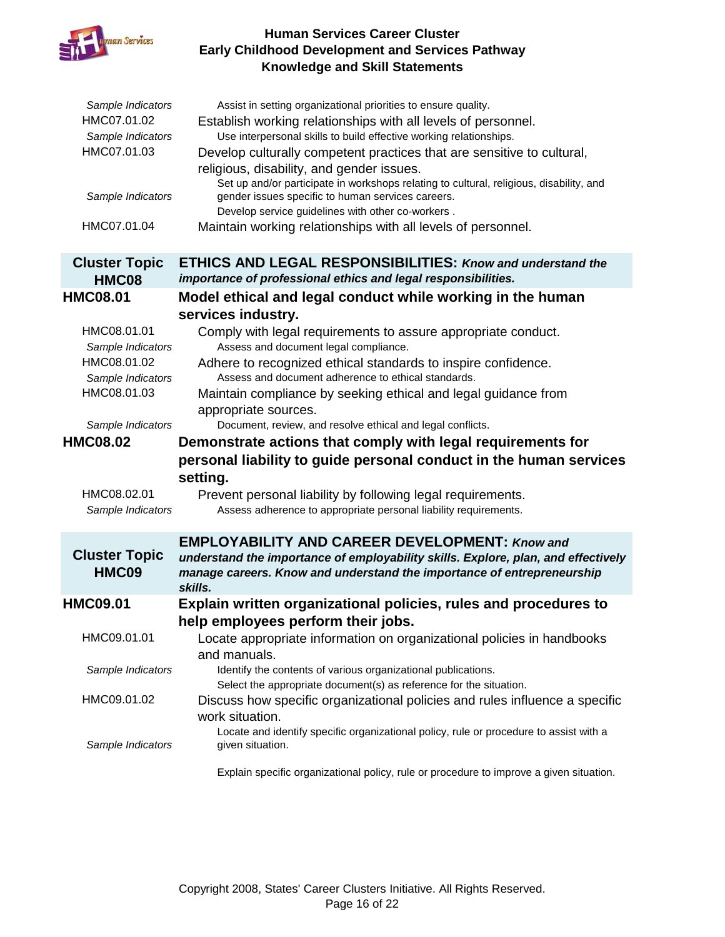

| Sample Indicators<br>HMC07.01.02<br>Sample Indicators<br>HMC07.01.03<br>Sample Indicators<br>HMC07.01.04 | Assist in setting organizational priorities to ensure quality.<br>Establish working relationships with all levels of personnel.<br>Use interpersonal skills to build effective working relationships.<br>Develop culturally competent practices that are sensitive to cultural,<br>religious, disability, and gender issues.<br>Set up and/or participate in workshops relating to cultural, religious, disability, and<br>gender issues specific to human services careers.<br>Develop service guidelines with other co-workers.<br>Maintain working relationships with all levels of personnel. |
|----------------------------------------------------------------------------------------------------------|---------------------------------------------------------------------------------------------------------------------------------------------------------------------------------------------------------------------------------------------------------------------------------------------------------------------------------------------------------------------------------------------------------------------------------------------------------------------------------------------------------------------------------------------------------------------------------------------------|
| <b>Cluster Topic</b>                                                                                     | <b>ETHICS AND LEGAL RESPONSIBILITIES: Know and understand the</b>                                                                                                                                                                                                                                                                                                                                                                                                                                                                                                                                 |
| HMC08                                                                                                    | importance of professional ethics and legal responsibilities.                                                                                                                                                                                                                                                                                                                                                                                                                                                                                                                                     |
| <b>HMC08.01</b>                                                                                          | Model ethical and legal conduct while working in the human                                                                                                                                                                                                                                                                                                                                                                                                                                                                                                                                        |
|                                                                                                          | services industry.                                                                                                                                                                                                                                                                                                                                                                                                                                                                                                                                                                                |
| HMC08.01.01<br>Sample Indicators                                                                         | Comply with legal requirements to assure appropriate conduct.<br>Assess and document legal compliance.                                                                                                                                                                                                                                                                                                                                                                                                                                                                                            |
| HMC08.01.02<br>Sample Indicators                                                                         | Adhere to recognized ethical standards to inspire confidence.<br>Assess and document adherence to ethical standards.                                                                                                                                                                                                                                                                                                                                                                                                                                                                              |
| HMC08.01.03                                                                                              | Maintain compliance by seeking ethical and legal guidance from<br>appropriate sources.                                                                                                                                                                                                                                                                                                                                                                                                                                                                                                            |
|                                                                                                          |                                                                                                                                                                                                                                                                                                                                                                                                                                                                                                                                                                                                   |
| Sample Indicators                                                                                        | Document, review, and resolve ethical and legal conflicts.                                                                                                                                                                                                                                                                                                                                                                                                                                                                                                                                        |
| <b>HMC08.02</b>                                                                                          | Demonstrate actions that comply with legal requirements for                                                                                                                                                                                                                                                                                                                                                                                                                                                                                                                                       |
| HMC08.02.01<br>Sample Indicators                                                                         | personal liability to guide personal conduct in the human services<br>setting.<br>Prevent personal liability by following legal requirements.<br>Assess adherence to appropriate personal liability requirements.                                                                                                                                                                                                                                                                                                                                                                                 |
|                                                                                                          | <b>EMPLOYABILITY AND CAREER DEVELOPMENT: Know and</b>                                                                                                                                                                                                                                                                                                                                                                                                                                                                                                                                             |
| <b>Cluster Topic</b><br>HMC09                                                                            | understand the importance of employability skills. Explore, plan, and effectively<br>manage careers. Know and understand the importance of entrepreneurship<br>skills.                                                                                                                                                                                                                                                                                                                                                                                                                            |
| <b>HMC09.01</b>                                                                                          | Explain written organizational policies, rules and procedures to                                                                                                                                                                                                                                                                                                                                                                                                                                                                                                                                  |
|                                                                                                          |                                                                                                                                                                                                                                                                                                                                                                                                                                                                                                                                                                                                   |
| HMC09.01.01                                                                                              | help employees perform their jobs.<br>Locate appropriate information on organizational policies in handbooks                                                                                                                                                                                                                                                                                                                                                                                                                                                                                      |
| Sample Indicators                                                                                        | and manuals.<br>Identify the contents of various organizational publications.<br>Select the appropriate document(s) as reference for the situation.                                                                                                                                                                                                                                                                                                                                                                                                                                               |
| HMC09.01.02                                                                                              | Discuss how specific organizational policies and rules influence a specific<br>work situation.                                                                                                                                                                                                                                                                                                                                                                                                                                                                                                    |
| Sample Indicators                                                                                        | Locate and identify specific organizational policy, rule or procedure to assist with a<br>given situation.                                                                                                                                                                                                                                                                                                                                                                                                                                                                                        |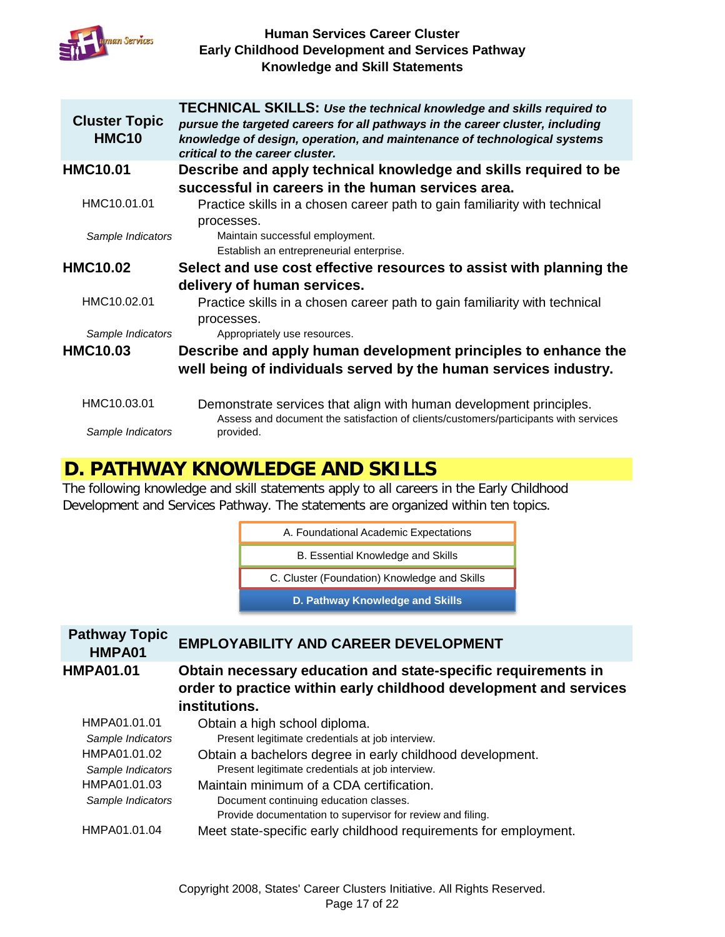

| <b>Cluster Topic</b><br><b>HMC10</b> | <b>TECHNICAL SKILLS: Use the technical knowledge and skills required to</b><br>pursue the targeted careers for all pathways in the career cluster, including<br>knowledge of design, operation, and maintenance of technological systems<br>critical to the career cluster. |
|--------------------------------------|-----------------------------------------------------------------------------------------------------------------------------------------------------------------------------------------------------------------------------------------------------------------------------|
| <b>HMC10.01</b>                      | Describe and apply technical knowledge and skills required to be                                                                                                                                                                                                            |
|                                      | successful in careers in the human services area.                                                                                                                                                                                                                           |
| HMC10.01.01                          | Practice skills in a chosen career path to gain familiarity with technical                                                                                                                                                                                                  |
|                                      | processes.                                                                                                                                                                                                                                                                  |
| Sample Indicators                    | Maintain successful employment.                                                                                                                                                                                                                                             |
|                                      | Establish an entrepreneurial enterprise.                                                                                                                                                                                                                                    |
| <b>HMC10.02</b>                      | Select and use cost effective resources to assist with planning the                                                                                                                                                                                                         |
|                                      | delivery of human services.                                                                                                                                                                                                                                                 |
| HMC10.02.01                          | Practice skills in a chosen career path to gain familiarity with technical<br>processes.                                                                                                                                                                                    |
| Sample Indicators                    | Appropriately use resources.                                                                                                                                                                                                                                                |
| <b>HMC10.03</b>                      | Describe and apply human development principles to enhance the                                                                                                                                                                                                              |
|                                      | well being of individuals served by the human services industry.                                                                                                                                                                                                            |
| HMC10.03.01                          | Demonstrate services that align with human development principles.<br>Assess and document the satisfaction of clients/customers/participants with services                                                                                                                  |
| Sample Indicators                    | provided.                                                                                                                                                                                                                                                                   |

### **D. PATHWAY KNOWLEDGE AND SKILLS**

The following knowledge and skill statements apply to all careers in the Early Childhood Development and Services Pathway. The statements are organized within ten topics.

A. Foundational Academic Expectations

B. Essential Knowledge and Skills

C. Cluster (Foundation) Knowledge and Skills

**D. Pathway Knowledge and Skills**

### **Pathway Topic HMPA01 EMPLOYABILITY AND CAREER DEVELOPMENT HMPA01.01 Obtain necessary education and state-specific requirements in**

# **order to practice within early childhood development and services institutions.**

| HMPA01.01.01      | Obtain a high school diploma.                                    |
|-------------------|------------------------------------------------------------------|
| Sample Indicators | Present legitimate credentials at job interview.                 |
| HMPA01.01.02      | Obtain a bachelors degree in early childhood development.        |
| Sample Indicators | Present legitimate credentials at job interview.                 |
| HMPA01.01.03      | Maintain minimum of a CDA certification.                         |
| Sample Indicators | Document continuing education classes.                           |
|                   | Provide documentation to supervisor for review and filing.       |
| HMPA01.01.04      | Meet state-specific early childhood requirements for employment. |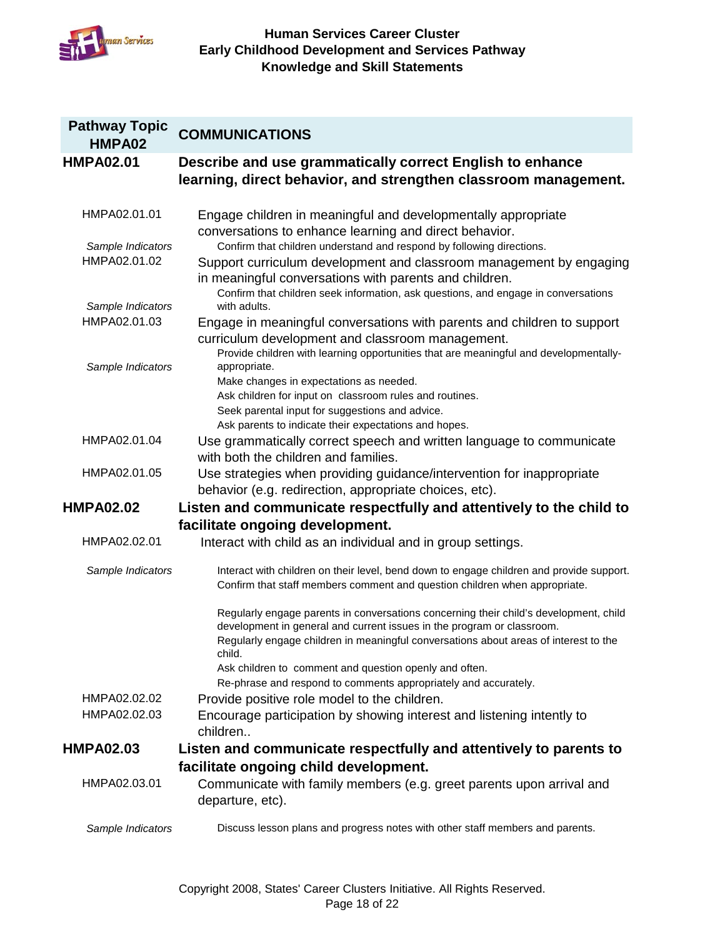

| <b>Pathway Topic</b><br>HMPA02    | <b>COMMUNICATIONS</b>                                                                                                                                                                                                                                                                                                                                                                          |
|-----------------------------------|------------------------------------------------------------------------------------------------------------------------------------------------------------------------------------------------------------------------------------------------------------------------------------------------------------------------------------------------------------------------------------------------|
| <b>HMPA02.01</b>                  | Describe and use grammatically correct English to enhance<br>learning, direct behavior, and strengthen classroom management.                                                                                                                                                                                                                                                                   |
| HMPA02.01.01                      | Engage children in meaningful and developmentally appropriate<br>conversations to enhance learning and direct behavior.                                                                                                                                                                                                                                                                        |
| Sample Indicators<br>HMPA02.01.02 | Confirm that children understand and respond by following directions.<br>Support curriculum development and classroom management by engaging<br>in meaningful conversations with parents and children.<br>Confirm that children seek information, ask questions, and engage in conversations                                                                                                   |
| Sample Indicators<br>HMPA02.01.03 | with adults.<br>Engage in meaningful conversations with parents and children to support<br>curriculum development and classroom management.<br>Provide children with learning opportunities that are meaningful and developmentally-                                                                                                                                                           |
| Sample Indicators                 | appropriate.<br>Make changes in expectations as needed.<br>Ask children for input on classroom rules and routines.<br>Seek parental input for suggestions and advice.<br>Ask parents to indicate their expectations and hopes.                                                                                                                                                                 |
| HMPA02.01.04                      | Use grammatically correct speech and written language to communicate<br>with both the children and families.                                                                                                                                                                                                                                                                                   |
| HMPA02.01.05                      | Use strategies when providing guidance/intervention for inappropriate<br>behavior (e.g. redirection, appropriate choices, etc).                                                                                                                                                                                                                                                                |
| <b>HMPA02.02</b>                  | Listen and communicate respectfully and attentively to the child to                                                                                                                                                                                                                                                                                                                            |
| HMPA02.02.01                      | facilitate ongoing development.<br>Interact with child as an individual and in group settings.                                                                                                                                                                                                                                                                                                 |
| Sample Indicators                 | Interact with children on their level, bend down to engage children and provide support.<br>Confirm that staff members comment and question children when appropriate.                                                                                                                                                                                                                         |
|                                   | Regularly engage parents in conversations concerning their child's development, child<br>development in general and current issues in the program or classroom.<br>Regularly engage children in meaningful conversations about areas of interest to the<br>child.<br>Ask children to comment and question openly and often.<br>Re-phrase and respond to comments appropriately and accurately. |
| HMPA02.02.02<br>HMPA02.02.03      | Provide positive role model to the children.<br>Encourage participation by showing interest and listening intently to<br>children                                                                                                                                                                                                                                                              |
| <b>HMPA02.03</b>                  | Listen and communicate respectfully and attentively to parents to                                                                                                                                                                                                                                                                                                                              |
| HMPA02.03.01                      | facilitate ongoing child development.<br>Communicate with family members (e.g. greet parents upon arrival and<br>departure, etc).                                                                                                                                                                                                                                                              |
| Sample Indicators                 | Discuss lesson plans and progress notes with other staff members and parents.                                                                                                                                                                                                                                                                                                                  |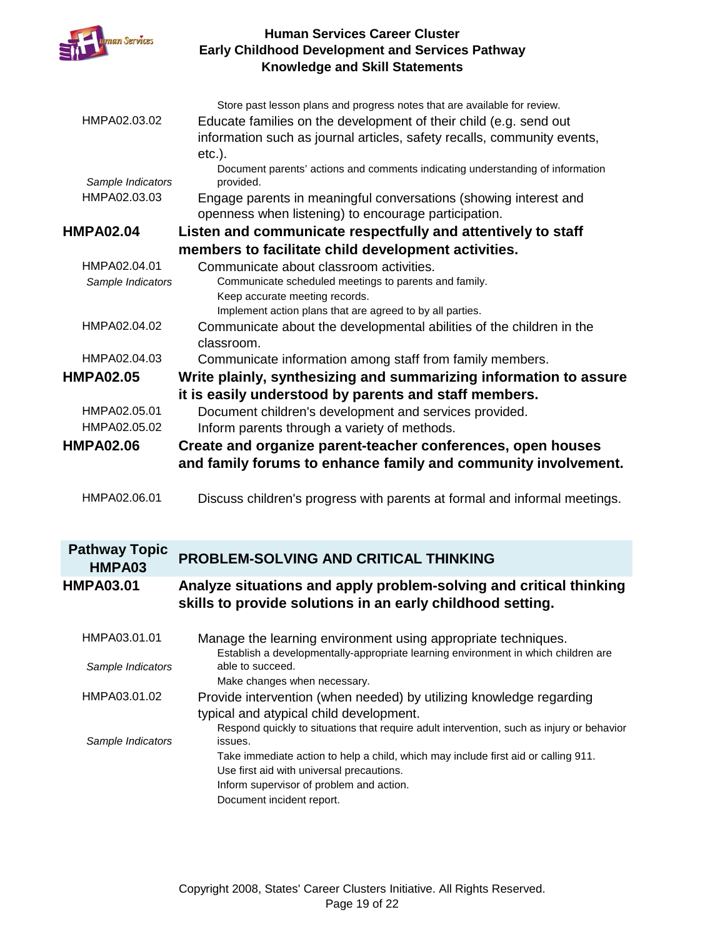

|                      | Store past lesson plans and progress notes that are available for review.                                                       |
|----------------------|---------------------------------------------------------------------------------------------------------------------------------|
| HMPA02.03.02         | Educate families on the development of their child (e.g. send out                                                               |
|                      | information such as journal articles, safety recalls, community events,                                                         |
|                      | $etc.$ ).                                                                                                                       |
| Sample Indicators    | Document parents' actions and comments indicating understanding of information<br>provided.                                     |
| HMPA02.03.03         | Engage parents in meaningful conversations (showing interest and                                                                |
|                      | openness when listening) to encourage participation.                                                                            |
| <b>HMPA02.04</b>     | Listen and communicate respectfully and attentively to staff                                                                    |
|                      | members to facilitate child development activities.                                                                             |
| HMPA02.04.01         | Communicate about classroom activities.                                                                                         |
| Sample Indicators    | Communicate scheduled meetings to parents and family.                                                                           |
|                      | Keep accurate meeting records.                                                                                                  |
|                      | Implement action plans that are agreed to by all parties.                                                                       |
| HMPA02.04.02         | Communicate about the developmental abilities of the children in the<br>classroom.                                              |
| HMPA02.04.03         | Communicate information among staff from family members.                                                                        |
| <b>HMPA02.05</b>     | Write plainly, synthesizing and summarizing information to assure                                                               |
|                      | it is easily understood by parents and staff members.                                                                           |
| HMPA02.05.01         | Document children's development and services provided.                                                                          |
| HMPA02.05.02         | Inform parents through a variety of methods.                                                                                    |
|                      |                                                                                                                                 |
| <b>HMPA02.06</b>     |                                                                                                                                 |
|                      | Create and organize parent-teacher conferences, open houses                                                                     |
|                      | and family forums to enhance family and community involvement.                                                                  |
| HMPA02.06.01         | Discuss children's progress with parents at formal and informal meetings.                                                       |
|                      |                                                                                                                                 |
|                      |                                                                                                                                 |
| <b>Pathway Topic</b> |                                                                                                                                 |
| HMPA03               | <b>PROBLEM-SOLVING AND CRITICAL THINKING</b>                                                                                    |
| <b>HMPA03.01</b>     | Analyze situations and apply problem-solving and critical thinking                                                              |
|                      | skills to provide solutions in an early childhood setting.                                                                      |
|                      |                                                                                                                                 |
| HMPA03.01.01         | Manage the learning environment using appropriate techniques.                                                                   |
|                      | Establish a developmentally-appropriate learning environment in which children are<br>able to succeed.                          |
| Sample Indicators    | Make changes when necessary.                                                                                                    |
| HMPA03.01.02         | Provide intervention (when needed) by utilizing knowledge regarding                                                             |
|                      | typical and atypical child development.                                                                                         |
|                      | Respond quickly to situations that require adult intervention, such as injury or behavior                                       |
| Sample Indicators    | issues.                                                                                                                         |
|                      | Take immediate action to help a child, which may include first aid or calling 911.<br>Use first aid with universal precautions. |

Document incident report.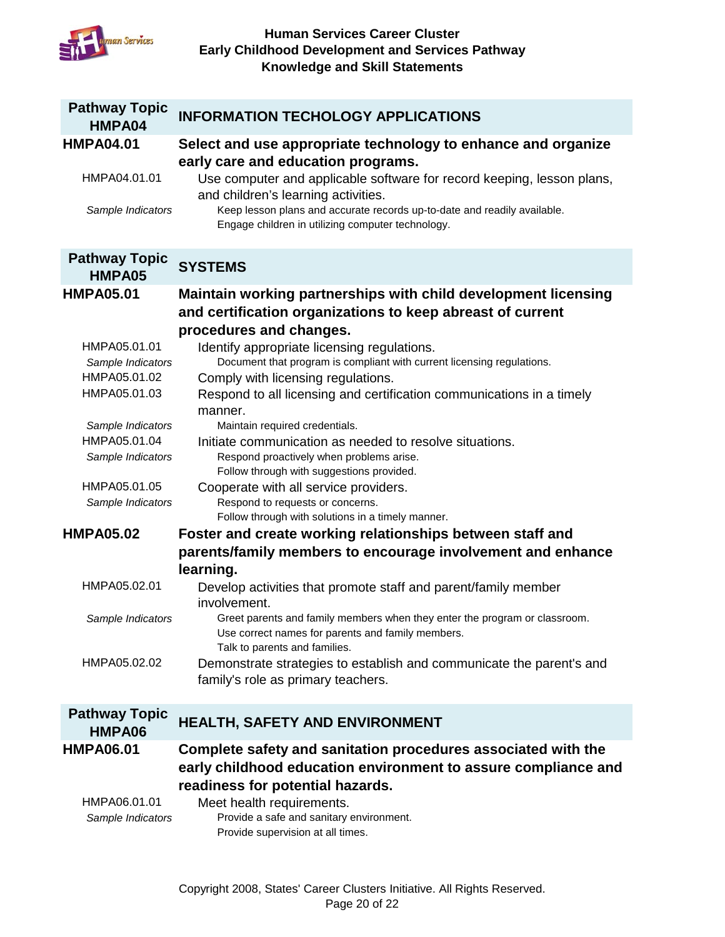

| <b>Pathway Topic</b><br>HMPA04 | <b>INFORMATION TECHOLOGY APPLICATIONS</b>                                                                       |
|--------------------------------|-----------------------------------------------------------------------------------------------------------------|
| <b>HMPA04.01</b>               | Select and use appropriate technology to enhance and organize                                                   |
|                                | early care and education programs.                                                                              |
| HMPA04.01.01                   | Use computer and applicable software for record keeping, lesson plans,                                          |
| Sample Indicators              | and children's learning activities.<br>Keep lesson plans and accurate records up-to-date and readily available. |
|                                | Engage children in utilizing computer technology.                                                               |
| <b>Pathway Topic</b>           |                                                                                                                 |
| HMPA05                         | <b>SYSTEMS</b>                                                                                                  |
| <b>HMPA05.01</b>               | Maintain working partnerships with child development licensing                                                  |
|                                | and certification organizations to keep abreast of current                                                      |
|                                | procedures and changes.                                                                                         |
| HMPA05.01.01                   | Identify appropriate licensing regulations.                                                                     |
| Sample Indicators              | Document that program is compliant with current licensing regulations.                                          |
| HMPA05.01.02<br>HMPA05.01.03   | Comply with licensing regulations.                                                                              |
|                                | Respond to all licensing and certification communications in a timely<br>manner.                                |
| Sample Indicators              | Maintain required credentials.                                                                                  |
| HMPA05.01.04                   | Initiate communication as needed to resolve situations.                                                         |
| Sample Indicators              | Respond proactively when problems arise.                                                                        |
|                                | Follow through with suggestions provided.                                                                       |
| HMPA05.01.05                   | Cooperate with all service providers.                                                                           |
| Sample Indicators              | Respond to requests or concerns.                                                                                |
| <b>HMPA05.02</b>               | Follow through with solutions in a timely manner.<br>Foster and create working relationships between staff and  |
|                                | parents/family members to encourage involvement and enhance                                                     |
|                                | learning.                                                                                                       |
| HMPA05.02.01                   | Develop activities that promote staff and parent/family member                                                  |
|                                | involvement.                                                                                                    |
| Sample Indicators              | Greet parents and family members when they enter the program or classroom.                                      |
|                                | Use correct names for parents and family members.                                                               |
|                                | Talk to parents and families.                                                                                   |
| HMPA05.02.02                   | Demonstrate strategies to establish and communicate the parent's and                                            |
|                                | family's role as primary teachers.                                                                              |
| <b>Pathway Topic</b>           |                                                                                                                 |
| HMPA06                         | HEALTH, SAFETY AND ENVIRONMENT                                                                                  |
| <b>HMPA06.01</b>               | Complete safety and sanitation procedures associated with the                                                   |
|                                | early childhood education environment to assure compliance and                                                  |
|                                | readiness for potential hazards.                                                                                |
| HMPA06.01.01                   | Meet health requirements.                                                                                       |
| Sample Indicators              | Provide a safe and sanitary environment.<br>Provide supervision at all times.                                   |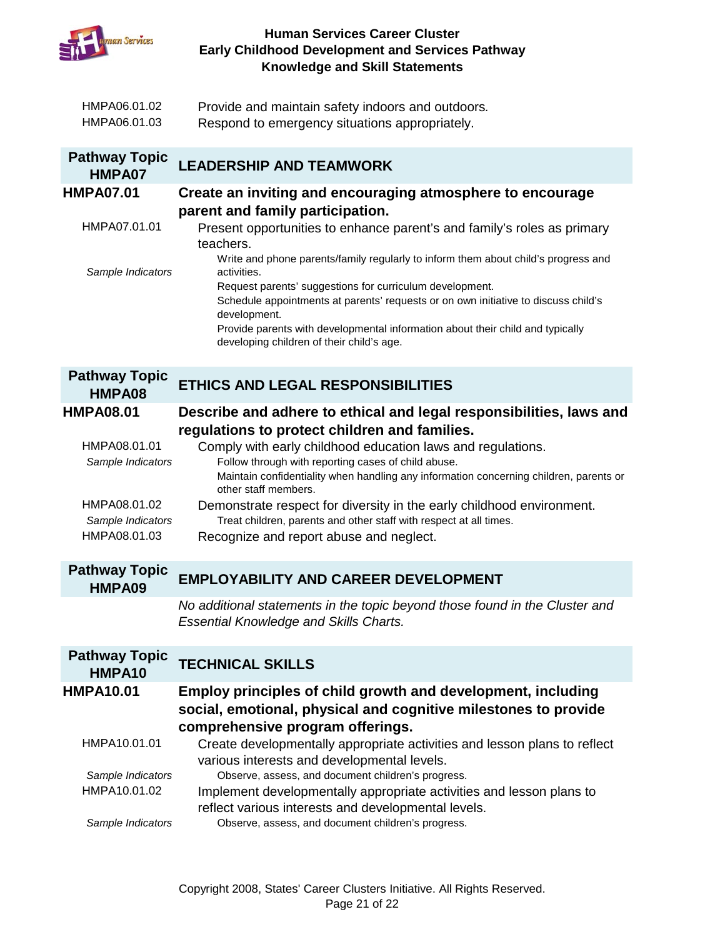

| HMPA06.01.02 | Provide and maintain safety indoors and outdoors. |
|--------------|---------------------------------------------------|
| HMPA06.01.03 | Respond to emergency situations appropriately.    |

| <b>Pathway Topic</b><br>HMPA07 | <b>LEADERSHIP AND TEAMWORK</b>                                                                                               |
|--------------------------------|------------------------------------------------------------------------------------------------------------------------------|
| <b>HMPA07.01</b>               | Create an inviting and encouraging atmosphere to encourage                                                                   |
|                                | parent and family participation.                                                                                             |
| HMPA07.01.01                   | Present opportunities to enhance parent's and family's roles as primary<br>teachers.                                         |
| Sample Indicators              | Write and phone parents/family regularly to inform them about child's progress and<br>activities.                            |
|                                | Request parents' suggestions for curriculum development.                                                                     |
|                                | Schedule appointments at parents' requests or on own initiative to discuss child's<br>development.                           |
|                                | Provide parents with developmental information about their child and typically<br>developing children of their child's age.  |
|                                |                                                                                                                              |
| <b>Pathway Topic</b>           |                                                                                                                              |
| HMPA08                         | <b>ETHICS AND LEGAL RESPONSIBILITIES</b>                                                                                     |
| <b>HMPA08.01</b>               | Describe and adhere to ethical and legal responsibilities, laws and                                                          |
|                                | regulations to protect children and families.                                                                                |
| HMPA08.01.01                   | Comply with early childhood education laws and regulations.                                                                  |
| Sample Indicators              | Follow through with reporting cases of child abuse.                                                                          |
|                                | Maintain confidentiality when handling any information concerning children, parents or<br>other staff members.               |
| HMPA08.01.02                   | Demonstrate respect for diversity in the early childhood environment.                                                        |
| Sample Indicators              | Treat children, parents and other staff with respect at all times.                                                           |
| HMPA08.01.03                   | Recognize and report abuse and neglect.                                                                                      |
| <b>Pathway Topic</b>           |                                                                                                                              |
| HMPA09                         | <b>EMPLOYABILITY AND CAREER DEVELOPMENT</b>                                                                                  |
|                                | No additional statements in the topic beyond those found in the Cluster and<br><b>Essential Knowledge and Skills Charts.</b> |
| <b>Pathway Topic</b><br>HMPA10 | <b>TECHNICAL SKILLS</b>                                                                                                      |
|                                |                                                                                                                              |

**HMPA10.01 Employ principles of child growth and development, including social, emotional, physical and cognitive milestones to provide comprehensive program offerings.**

| HMPA10.01.01      | Create developmentally appropriate activities and lesson plans to reflect |
|-------------------|---------------------------------------------------------------------------|
|                   | various interests and developmental levels.                               |
| Sample Indicators | Observe, assess, and document children's progress.                        |
| HMPA10.01.02      | Implement developmentally appropriate activities and lesson plans to      |
|                   | reflect various interests and developmental levels.                       |
| Sample Indicators | Observe, assess, and document children's progress.                        |
|                   |                                                                           |